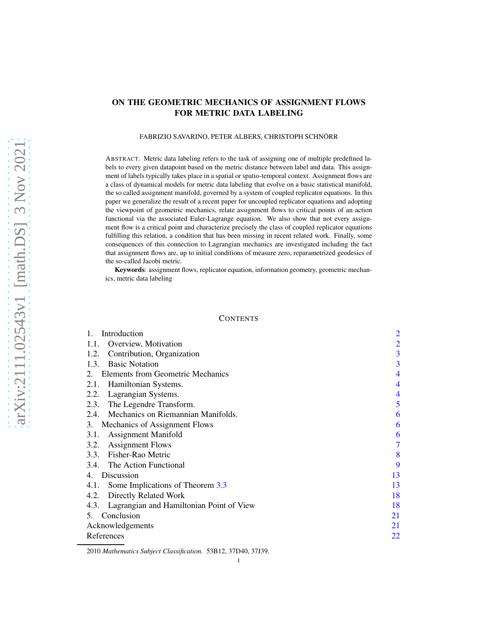# ON THE GEOMETRIC MECHANICS OF ASSIGNMENT FLOWS FOR METRIC DATA LABELING

## FABRIZIO SAVARINO, PETER ALBERS, CHRISTOPH SCHNÖRR

ABSTRACT. Metric data labeling refers to the task of assigning one of multiple predefined labels to every given datapoint based on the metric distance between label and data. This assignment of labels typically takes place in a spatial or spatio-temporal context. Assignment flows are a class of dynamical models for metric data labeling that evolve on a basic statistical manifold, the so called assignment manifold, governed by a system of coupled replicator equations. In this paper we generalize the result of a recent paper for uncoupled replicator equations and adopting the viewpoint of geometric mechanics, relate assignment flows to critical points of an action functional via the associated Euler-Lagrange equation. We also show that not every assignment flow is a critical point and characterize precisely the class of coupled replicator equations fulfilling this relation, a condition that has been missing in recent related work. Finally, some consequences of this connection to Lagrangian mechanics are investigated including the fact that assignment flows are, up to initial conditions of measure zero, reparametrized geodesics of the so-called Jacobi metric.

Keywords: assignment flows, replicator equation, information geometry, geometric mechanics, metric data labeling

### **CONTENTS**

| Introduction                                     | $\overline{2}$ |
|--------------------------------------------------|----------------|
| Overview, Motivation<br>1.1.                     | $\overline{2}$ |
| Contribution, Organization<br>1.2.               | 3              |
| <b>Basic Notation</b><br>1.3.                    | 3              |
| 2. Elements from Geometric Mechanics             | 4              |
| Hamiltonian Systems.<br>2.1.                     | 4              |
| Lagrangian Systems.<br>2.2.                      | 4              |
| The Legendre Transform.<br>2.3.                  | 5              |
| 2.4. Mechanics on Riemannian Manifolds.          | 6              |
| Mechanics of Assignment Flows<br>3.              | 6              |
| <b>Assignment Manifold</b><br>3.1.               | 6              |
| 3.2.<br><b>Assignment Flows</b>                  | 7              |
| 3.3. Fisher-Rao Metric                           | 8              |
| 3.4. The Action Functional                       | 9              |
| 4. Discussion                                    | 13             |
| Some Implications of Theorem 3.3<br>4.1.         | 13             |
| Directly Related Work<br>4.2.                    | 18             |
| Lagrangian and Hamiltonian Point of View<br>4.3. | 18             |
| Conclusion<br>5.                                 | 21             |
| Acknowledgements                                 | 21             |
| References                                       | 22             |

<sup>2010</sup> *Mathematics Subject Classification.* 53B12, 37D40, 37J39.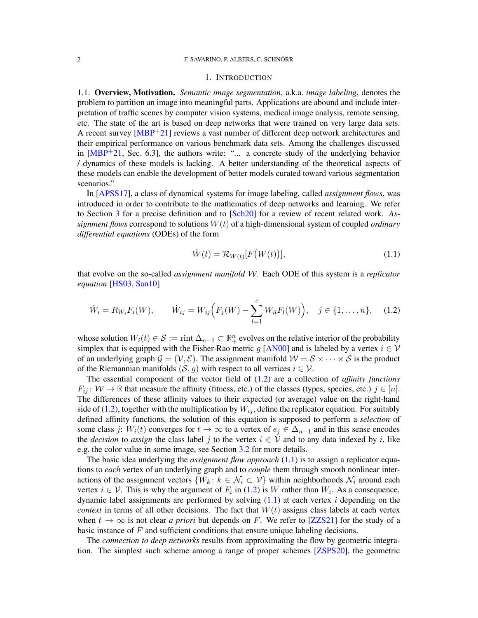### 1. INTRODUCTION

<span id="page-1-1"></span><span id="page-1-0"></span>1.1. Overview, Motivation. *Semantic image segmentation*, a.k.a. *image labeling*, denotes the problem to partition an image into meaningful parts. Applications are abound and include interpretation of traffic scenes by computer vision systems, medical image analysis, remote sensing, etc. The state of the art is based on deep networks that were trained on very large data sets. A recent survey  $[MBP<sup>+</sup>21]$  reviews a vast number of different deep network architectures and their empirical performance on various benchmark data sets. Among the challenges discussed in  $[MBP+21,$  Sec. 6.3], the authors write: "... a concrete study of the underlying behavior / dynamics of these models is lacking. A better understanding of the theoretical aspects of these models can enable the development of better models curated toward various segmentation scenarios."

In [\[APSS17\]](#page-21-2), a class of dynamical systems for image labeling, called *assignment flows*, was introduced in order to contribute to the mathematics of deep networks and learning. We refer to Section [3](#page-5-1) for a precise definition and to [\[Sch20\]](#page-21-3) for a review of recent related work. *Assignment flows* correspond to solutions W(t) of a high-dimensional system of coupled *ordinary differential equations* (ODEs) of the form

<span id="page-1-3"></span>
$$
\dot{W}(t) = \mathcal{R}_{W(t)}[F(W(t))],\tag{1.1}
$$

that evolve on the so-called *assignment manifold* W. Each ODE of this system is a *replicator equation* [\[HS03,](#page-21-4) [San10\]](#page-21-5)

<span id="page-1-2"></span>
$$
\dot{W}_i = R_{W_i} F_i(W), \qquad \dot{W}_{ij} = W_{ij} \Big( F_j(W) - \sum_{l=1}^c W_{il} F_l(W) \Big), \quad j \in \{1, \dots, n\}, \quad (1.2)
$$

whose solution  $W_i(t) \in \mathcal{S} := \text{rint } \Delta_{n-1} \subset \mathbb{R}^n_+$  evolves on the relative interior of the probability simplex that is equipped with the Fisher-Rao metric g [\[AN00\]](#page-21-6) and is labeled by a vertex  $i \in V$ of an underlying graph  $\mathcal{G} = (\mathcal{V}, \mathcal{E})$ . The assignment manifold  $\mathcal{W} = \mathcal{S} \times \cdots \times \mathcal{S}$  is the product of the Riemannian manifolds  $(S, g)$  with respect to all vertices  $i \in V$ .

The essential component of the vector field of [\(1.2\)](#page-1-2) are a collection of *affinity functions*  $F_{ij}$ :  $W \to \mathbb{R}$  that measure the affinity (fitness, etc.) of the classes (types, species, etc.)  $j \in [n]$ . The differences of these affinity values to their expected (or average) value on the right-hand side of [\(1.2\)](#page-1-2), together with the multiplication by  $W_{ij}$ , define the replicator equation. For suitably defined affinity functions, the solution of this equation is supposed to perform a *selection* of some class j:  $W_i(t)$  converges for  $t \to \infty$  to a vertex of  $e_i \in \Delta_{n-1}$  and in this sense encodes the *decision* to *assign* the class label j to the vertex  $i \in V$  and to any data indexed by i, like e.g. the color value in some image, see Section [3.2](#page-6-0) for more details.

The basic idea underlying the *assignment flow approach* [\(1.1\)](#page-1-3) is to assign a replicator equations to *each* vertex of an underlying graph and to *couple* them through smooth nonlinear interactions of the assignment vectors  $\{W_k: k \in \mathcal{N}_i \subset \mathcal{V}\}\$  within neighborhoods  $\mathcal{N}_i$  around each vertex  $i \in V$ . This is why the argument of  $F_i$  in [\(1.2\)](#page-1-2) is W rather than  $W_i$ . As a consequence, dynamic label assignments are performed by solving  $(1.1)$  at each vertex i depending on the *context* in terms of all other decisions. The fact that  $W(t)$  assigns class labels at each vertex when  $t \to \infty$  is not clear *a priori* but depends on F. We refer to [\[ZZS21\]](#page-21-7) for the study of a basic instance of  $F$  and sufficient conditions that ensure unique labeling decisions.

The *connection to deep networks* results from approximating the flow by geometric integration. The simplest such scheme among a range of proper schemes [\[ZSPS20\]](#page-21-8), the geometric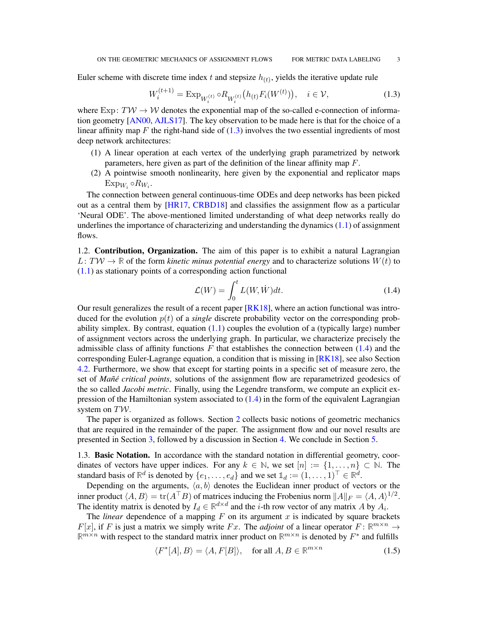Euler scheme with discrete time index t and stepsize  $h_{(t)}$ , yields the iterative update rule

<span id="page-2-2"></span>
$$
W_i^{(t+1)} = \operatorname{Exp}_{W_i^{(t)}} \circ R_{W_i^{(t)}}\big(h_{(t)} F_i(W^{(t)})\big), \quad i \in \mathcal{V},\tag{1.3}
$$

where  $Exp: T\mathcal{W} \to \mathcal{W}$  denotes the exponential map of the so-called e-connection of information geometry [\[AN00,](#page-21-6) [AJLS17\]](#page-21-9). The key observation to be made here is that for the choice of a linear affinity map  $F$  the right-hand side of  $(1.3)$  involves the two essential ingredients of most deep network architectures:

- (1) A linear operation at each vertex of the underlying graph parametrized by network parameters, here given as part of the definition of the linear affinity map  $F$ .
- (2) A pointwise smooth nonlinearity, here given by the exponential and replicator maps  $\mathrm{Exp}_{W_i} \circ R_{W_i}.$

The connection between general continuous-time ODEs and deep networks has been picked out as a central them by [\[HR17,](#page-21-10) [CRBD18\]](#page-21-11) and classifies the assignment flow as a particular 'Neural ODE'. The above-mentioned limited understanding of what deep networks really do underlines the importance of characterizing and understanding the dynamics  $(1.1)$  of assignment flows.

<span id="page-2-0"></span>1.2. Contribution, Organization. The aim of this paper is to exhibit a natural Lagrangian  $L: T \mathcal{W} \to \mathbb{R}$  of the form *kinetic minus potential energy* and to characterize solutions  $W(t)$  to  $(1.1)$  as stationary points of a corresponding action functional

<span id="page-2-3"></span>
$$
\mathcal{L}(W) = \int_0^t L(W, \dot{W}) dt.
$$
\n(1.4)

Our result generalizes the result of a recent paper [\[RK18\]](#page-21-12), where an action functional was introduced for the evolution  $p(t)$  of a *single* discrete probability vector on the corresponding probability simplex. By contrast, equation  $(1.1)$  couples the evolution of a (typically large) number of assignment vectors across the underlying graph. In particular, we characterize precisely the admissible class of affinity functions F that establishes the connection between  $(1.4)$  and the corresponding Euler-Lagrange equation, a condition that is missing in [\[RK18\]](#page-21-12), see also Section [4.2.](#page-17-0) Furthermore, we show that except for starting points in a specific set of measure zero, the set of *Man˜e critical points ´* , solutions of the assignment flow are reparametrized geodesics of the so called *Jacobi metric*. Finally, using the Legendre transform, we compute an explicit expression of the Hamiltonian system associated to  $(1.4)$  in the form of the equivalent Lagrangian system on TW.

The paper is organized as follows. Section [2](#page-3-0) collects basic notions of geometric mechanics that are required in the remainder of the paper. The assignment flow and our novel results are presented in Section [3,](#page-5-1) followed by a discussion in Section [4.](#page-12-0) We conclude in Section [5.](#page-20-0)

<span id="page-2-1"></span>1.3. Basic Notation. In accordance with the standard notation in differential geometry, coordinates of vectors have upper indices. For any  $k \in \mathbb{N}$ , we set  $[n] := \{1, \ldots, n\} \subset \mathbb{N}$ . The standard basis of  $\mathbb{R}^d$  is denoted by  $\{e_1, \ldots, e_d\}$  and we set  $\mathbb{1}_d := (1, \ldots, 1)^\top \in \mathbb{R}^d$ .

Depending on the arguments,  $\langle a, b \rangle$  denotes the Euclidean inner product of vectors or the inner product  $\langle A, B \rangle = \text{tr}(A^{\top}B)$  of matrices inducing the Frobenius norm  $||A||_F = \langle A, A \rangle^{1/2}$ . The identity matrix is denoted by  $I_d \in \mathbb{R}^{d \times d}$  and the *i*-th row vector of any matrix A by  $A_i$ .

The *linear* dependence of a mapping  $F$  on its argument  $x$  is indicated by square brackets  $F[x]$ , if F is just a matrix we simply write Fx. The *adjoint* of a linear operator  $F: \mathbb{R}^{m \times n} \to$  $\mathbb{R}^{m \times n}$  with respect to the standard matrix inner product on  $\mathbb{R}^{m \times n}$  is denoted by  $F^*$  and fulfills

<span id="page-2-4"></span>
$$
\langle F^*[A], B \rangle = \langle A, F[B] \rangle, \quad \text{for all } A, B \in \mathbb{R}^{m \times n}
$$
 (1.5)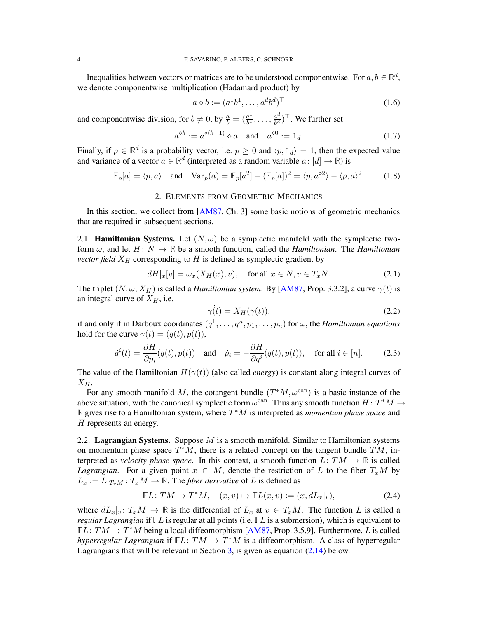Inequalities between vectors or matrices are to be understood componentwise. For  $a, b \in \mathbb{R}^d$ , we denote componentwise multiplication (Hadamard product) by

$$
a \diamond b := (a^1 b^1, \dots, a^d b^d)^\top \tag{1.6}
$$

and componentwise division, for  $b \neq 0$ , by  $\frac{a}{b} = \left(\frac{a^1}{b^1}\right)$  $\frac{a^1}{b^1}, \ldots, \frac{a^d}{b^d}$  $\frac{a^d}{b^d})^{\top}$ . We further set

$$
a^{\diamond k} := a^{\diamond (k-1)} \diamond a \quad \text{and} \quad a^{\diamond 0} := \mathbb{1}_d. \tag{1.7}
$$

Finally, if  $p \in \mathbb{R}^d$  is a probability vector, i.e.  $p \ge 0$  and  $\langle p, \mathbb{1}_d \rangle = 1$ , then the expected value and variance of a vector  $a \in \mathbb{R}^d$  (interpreted as a random variable  $a : [d] \to \mathbb{R}$ ) is

$$
\mathbb{E}_p[a] = \langle p, a \rangle \quad \text{and} \quad \text{Var}_p(a) = \mathbb{E}_p[a^2] - (\mathbb{E}_p[a])^2 = \langle p, a^{\diamond 2} \rangle - \langle p, a \rangle^2. \tag{1.8}
$$

## 2. ELEMENTS FROM GEOMETRIC MECHANICS

<span id="page-3-0"></span>In this section, we collect from [\[AM87,](#page-21-13) Ch. 3] some basic notions of geometric mechanics that are required in subsequent sections.

<span id="page-3-1"></span>2.1. **Hamiltonian Systems.** Let  $(N, \omega)$  be a symplectic manifold with the symplectic twoform  $\omega$ , and let  $H: N \to \mathbb{R}$  be a smooth function, called the *Hamiltonian*. The *Hamiltonian vector field*  $X_H$  corresponding to H is defined as symplectic gradient by

<span id="page-3-3"></span>
$$
dH|_x[v] = \omega_x(X_H(x), v), \quad \text{for all } x \in N, v \in T_xN. \tag{2.1}
$$

The triplet  $(N, \omega, X_H)$  is called a *Hamiltonian system*. By [\[AM87,](#page-21-13) Prop. 3.3.2], a curve  $\gamma(t)$  is an integral curve of  $X_H$ , i.e.

$$
\gamma(t) = X_H(\gamma(t)),\tag{2.2}
$$

if and only if in Darboux coordinates  $(q^1, \ldots, q^n, p_1, \ldots, p_n)$  for  $\omega$ , the *Hamiltonian equations* hold for the curve  $\gamma(t) = (q(t), p(t)),$ 

$$
\dot{q}^i(t) = \frac{\partial H}{\partial p_i}(q(t), p(t)) \quad \text{and} \quad \dot{p}_i = -\frac{\partial H}{\partial q^i}(q(t), p(t)), \quad \text{for all } i \in [n]. \tag{2.3}
$$

The value of the Hamiltonian  $H(\gamma(t))$  (also called *energy*) is constant along integral curves of  $X_H$ .

For any smooth manifold M, the cotangent bundle  $(T^*M, \omega^{\text{can}})$  is a basic instance of the above situation, with the canonical symplectic form  $\omega^{\text{can}}$ . Thus any smooth function  $H: T^*M \to$ **R** gives rise to a Hamiltonian system, where T <sup>∗</sup>M is interpreted as *momentum phase space* and H represents an energy.

<span id="page-3-2"></span>2.2. **Lagrangian Systems.** Suppose  $M$  is a smooth manifold. Similar to Hamiltonian systems on momentum phase space  $T^*M$ , there is a related concept on the tangent bundle  $TM$ , interpreted as *velocity phase space*. In this context, a smooth function  $L: TM \rightarrow \mathbb{R}$  is called *Lagrangian*. For a given point  $x \in M$ , denote the restriction of L to the fiber  $T_xM$  by  $L_x := L|_{T_xM} : T_xM \to \mathbb{R}$ . The *fiber derivative* of L is defined as

$$
\mathbb{F}L: TM \to T^*M, \quad (x,v) \mapsto \mathbb{F}L(x,v) := (x, dL_x|_v), \tag{2.4}
$$

where  $dL_x|_v: T_xM \to \mathbb{R}$  is the differential of  $L_x$  at  $v \in T_xM$ . The function L is called a *regular Lagrangian* if **F**L is regular at all points (i.e. **F**L is a submersion), which is equivalent to  $\overline{FL}: TM \rightarrow T^*M$  being a local diffeomorphism [\[AM87,](#page-21-13) Prop. 3.5.9]. Furthermore, L is called *hyperregular Lagrangian* if  $\mathbb{F}L$ :  $TM \to T^*M$  is a diffeomorphism. A class of hyperregular Lagrangians that will be relevant in Section [3,](#page-5-1) is given as equation [\(2.14\)](#page-5-3) below.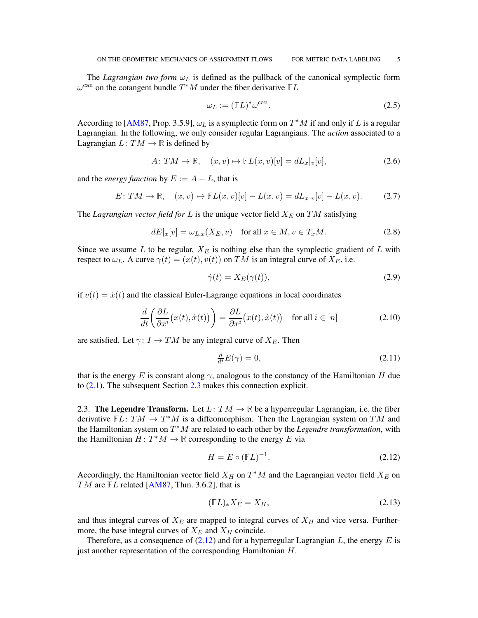The *Lagrangian two-form*  $\omega_L$  is defined as the pullback of the canonical symplectic form  $\omega^{\text{can}}$  on the cotangent bundle  $T^*M$  under the fiber derivative  $\mathbb{F}L$ 

<span id="page-4-2"></span>
$$
\omega_L := (\mathbb{F}L)^* \omega^{\text{can}}.
$$
\n(2.5)

According to [\[AM87,](#page-21-13) Prop. 3.5.9],  $\omega_L$  is a symplectic form on  $T^*M$  if and only if L is a regular Lagrangian. In the following, we only consider regular Lagrangians. The *action* associated to a Lagrangian  $L: TM \rightarrow \mathbb{R}$  is defined by

$$
A: TM \to \mathbb{R}, \quad (x, v) \mapsto \mathbb{F}L(x, v)[v] = dL_x|_v[v], \tag{2.6}
$$

and the *energy function* by  $E := A - L$ , that is

$$
E: TM \to \mathbb{R}, \quad (x, v) \mapsto \mathbb{F}L(x, v)[v] - L(x, v) = dL_x|_v[v] - L(x, v). \tag{2.7}
$$

The *Lagrangian vector field for*  $L$  is the unique vector field  $X_E$  on  $TM$  satisfying

<span id="page-4-3"></span>
$$
dE|_x[v] = \omega_{L,x}(X_E, v) \quad \text{for all } x \in M, v \in T_xM. \tag{2.8}
$$

Since we assume  $L$  to be regular,  $X_E$  is nothing else than the symplectic gradient of  $L$  with respect to  $\omega_L$ . A curve  $\gamma(t) = (x(t), v(t))$  on TM is an integral curve of  $X_E$ , i.e.

$$
\dot{\gamma}(t) = X_E(\gamma(t)),\tag{2.9}
$$

if  $v(t) = \dot{x}(t)$  and the classical Euler-Lagrange equations in local coordinates

$$
\frac{d}{dt}\left(\frac{\partial L}{\partial \dot{x}^i}(x(t), \dot{x}(t))\right) = \frac{\partial L}{\partial x^i}(x(t), \dot{x}(t)) \quad \text{for all } i \in [n]
$$
\n(2.10)

are satisfied. Let  $\gamma: I \to TM$  be any integral curve of  $X_E$ . Then

$$
\frac{d}{dt}E(\gamma) = 0,\t\t(2.11)
$$

that is the energy E is constant along  $\gamma$ , analogous to the constancy of the Hamiltonian H due to [\(2.1\)](#page-3-3). The subsequent Section [2.3](#page-4-0) makes this connection explicit.

<span id="page-4-0"></span>2.3. **The Legendre Transform.** Let  $L: TM \to \mathbb{R}$  be a hyperregular Lagrangian, i.e. the fiber derivative  $FL: TM \rightarrow T^*M$  is a diffeomorphism. Then the Lagrangian system on TM and the Hamiltonian system on T <sup>∗</sup>M are related to each other by the *Legendre transformation*, with the Hamiltonian  $H: T^*M \to \mathbb{R}$  corresponding to the energy E via

<span id="page-4-1"></span>
$$
H = E \circ (\mathbb{F}L)^{-1}.
$$
\n(2.12)

Accordingly, the Hamiltonian vector field  $X_H$  on  $T^*M$  and the Lagrangian vector field  $X_E$  on TM are  $FL$  related [\[AM87,](#page-21-13) Thm. 3.6.2], that is

$$
(\mathbb{F}L)_* X_E = X_H,\tag{2.13}
$$

and thus integral curves of  $X_E$  are mapped to integral curves of  $X_H$  and vice versa. Furthermore, the base integral curves of  $X_E$  and  $X_H$  coincide.

Therefore, as a consequence of  $(2.12)$  and for a hyperregular Lagrangian L, the energy E is just another representation of the corresponding Hamiltonian H.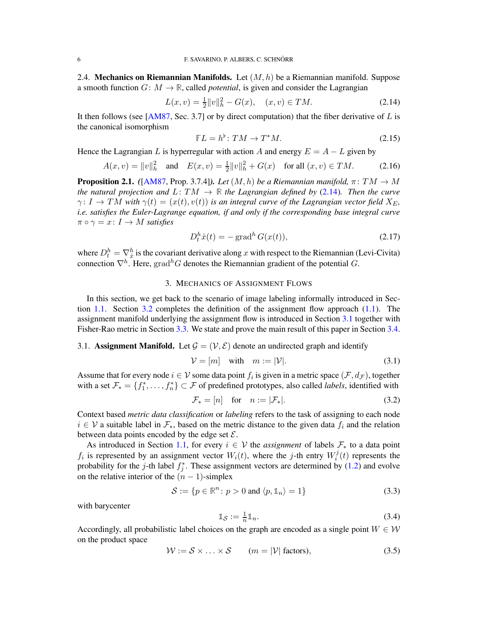<span id="page-5-0"></span>2.4. **Mechanics on Riemannian Manifolds.** Let  $(M, h)$  be a Riemannian manifold. Suppose a smooth function  $G: M \to \mathbb{R}$ , called *potential*, is given and consider the Lagrangian

<span id="page-5-3"></span>
$$
L(x, v) = \frac{1}{2} ||v||_h^2 - G(x), \quad (x, v) \in TM.
$$
 (2.14)

It then follows (see [\[AM87,](#page-21-13) Sec. 3.7] or by direct computation) that the fiber derivative of  $L$  is the canonical isomorphism

$$
\mathbb{F}L = h^{\flat} \colon TM \to T^*M. \tag{2.15}
$$

Hence the Lagrangian L is hyperregular with action A and energy  $E = A - L$  given by

<span id="page-5-7"></span>
$$
A(x, v) = ||v||_h^2 \quad \text{and} \quad E(x, v) = \frac{1}{2} ||v||_h^2 + G(x) \quad \text{for all } (x, v) \in TM.
$$
 (2.16)

<span id="page-5-6"></span>**Proposition 2.1.** *(*[\[AM87,](#page-21-13) Prop. 3.7.4]*). Let*  $(M, h)$  *be a Riemannian manifold,*  $\pi: TM \rightarrow M$ *the natural projection and*  $L: TM \rightarrow \mathbb{R}$  *the Lagrangian defined by* [\(2.14\)](#page-5-3)*. Then the curve*  $\gamma: I \to TM$  with  $\gamma(t) = (x(t), v(t))$  *is an integral curve of the Lagrangian vector field*  $X_E$ *, i.e. satisfies the Euler-Lagrange equation, if and only if the corresponding base integral curve*  $\pi \circ \gamma = x \colon I \to M$  *satisfies* 

$$
D_t^h \dot{x}(t) = -\operatorname{grad}^h G(x(t)),\tag{2.17}
$$

<span id="page-5-1"></span>where  $D_t^h = \nabla_x^h$  is the covariant derivative along x with respect to the Riemannian (Levi-Civita) connection  $\nabla^h$ . Here, grad<sup>h</sup>G denotes the Riemannian gradient of the potential G.

## 3. MECHANICS OF ASSIGNMENT FLOWS

In this section, we get back to the scenario of image labeling informally introduced in Section [1.1.](#page-1-1) Section [3.2](#page-6-0) completes the definition of the assignment flow approach [\(1.1\)](#page-1-3). The assignment manifold underlying the assignment flow is introduced in Section [3.1](#page-5-2) together with Fisher-Rao metric in Section [3.3.](#page-7-0) We state and prove the main result of this paper in Section [3.4.](#page-8-0)

# <span id="page-5-2"></span>3.1. Assignment Manifold. Let  $\mathcal{G} = (\mathcal{V}, \mathcal{E})$  denote an undirected graph and identify

$$
\mathcal{V} = [m] \quad \text{with} \quad m := |\mathcal{V}|. \tag{3.1}
$$

Assume that for every node  $i \in V$  some data point  $f_i$  is given in a metric space  $(\mathcal{F}, d_{\mathcal{F}})$ , together with a set  $\mathcal{F}_* = \{f_1^*, \ldots, f_n^*\} \subset \mathcal{F}$  of predefined prototypes, also called *labels*, identified with

$$
\mathcal{F}_* = [n] \quad \text{for} \quad n := |\mathcal{F}_*|.
$$

Context based *metric data classification* or *labeling* refers to the task of assigning to each node  $i \in V$  a suitable label in  $\mathcal{F}_{*}$ , based on the metric distance to the given data  $f_i$  and the relation between data points encoded by the edge set  $\mathcal{E}$ .

As introduced in Section [1.1,](#page-1-1) for every  $i \in V$  the *assignment* of labels  $\mathcal{F}_{*}$  to a data point  $f_i$  is represented by an assignment vector  $W_i(t)$ , where the j-th entry  $W_i^j$  $t_i^j(t)$  represents the probability for the *j*-th label  $f_j^*$ . These assignment vectors are determined by [\(1.2\)](#page-1-2) and evolve on the relative interior of the  $(n - 1)$ -simplex

<span id="page-5-5"></span>
$$
S := \{ p \in \mathbb{R}^n : p > 0 \text{ and } \langle p, \mathbb{1}_n \rangle = 1 \}
$$
 (3.3)

with barycenter

$$
\mathbb{1}_{\mathcal{S}} := \frac{1}{n} \mathbb{1}_n. \tag{3.4}
$$

Accordingly, all probabilistic label choices on the graph are encoded as a single point  $W \in \mathcal{W}$ on the product space

<span id="page-5-4"></span>
$$
\mathcal{W} := \mathcal{S} \times \ldots \times \mathcal{S} \qquad (m = |\mathcal{V}| \text{ factors}), \tag{3.5}
$$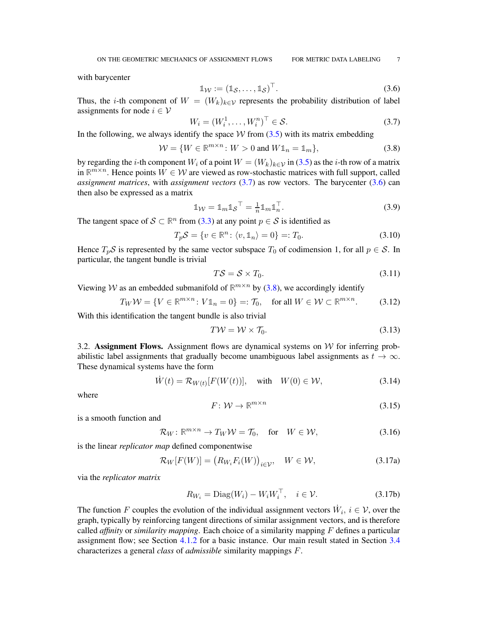with barycenter

<span id="page-6-2"></span>
$$
\mathbb{1}_{\mathcal{W}} := (\mathbb{1}_{\mathcal{S}}, \dots, \mathbb{1}_{\mathcal{S}})^{\top}.
$$
\n(3.6)

Thus, the *i*-th component of  $W = (W_k)_{k \in \mathcal{V}}$  represents the probability distribution of label assignments for node  $i \in V$ 

<span id="page-6-1"></span>
$$
W_i = (W_i^1, \dots, W_i^n)^\top \in \mathcal{S}.\tag{3.7}
$$

In the following, we always identify the space  $W$  from [\(3.5\)](#page-5-4) with its matrix embedding

<span id="page-6-3"></span>
$$
\mathcal{W} = \{ W \in \mathbb{R}^{m \times n} \colon W > 0 \text{ and } W \mathbb{1}_n = \mathbb{1}_m \},\tag{3.8}
$$

by regarding the *i*-th component  $W_i$  of a point  $W = (W_k)_{k \in \mathcal{V}}$  in [\(3.5\)](#page-5-4) as the *i*-th row of a matrix in  $\mathbb{R}^{m \times n}$ . Hence points  $\hat{W} \in \mathcal{W}$  are viewed as row-stochastic matrices with full support, called *assignment matrices*, with *assignment vectors* [\(3.7\)](#page-6-1) as row vectors. The barycenter [\(3.6\)](#page-6-2) can then also be expressed as a matrix

$$
\mathbb{1}_{\mathcal{W}} = \mathbb{1}_m \mathbb{1}_{\mathcal{S}}^\top = \frac{1}{n} \mathbb{1}_m \mathbb{1}_n^\top. \tag{3.9}
$$

The tangent space of  $S \subset \mathbb{R}^n$  from [\(3.3\)](#page-5-5) at any point  $p \in S$  is identified as

<span id="page-6-8"></span>
$$
T_p \mathcal{S} = \{ v \in \mathbb{R}^n : \langle v, \mathbb{1}_n \rangle = 0 \} =: T_0. \tag{3.10}
$$

Hence  $T_pS$  is represented by the same vector subspace  $T_0$  of codimension 1, for all  $p \in S$ . In particular, the tangent bundle is trivial

$$
T\mathcal{S} = \mathcal{S} \times T_0. \tag{3.11}
$$

Viewing W as an embedded submanifold of  $\mathbb{R}^{m \times n}$  by [\(3.8\)](#page-6-3), we accordingly identify

<span id="page-6-6"></span>
$$
T_W \mathcal{W} = \{ V \in \mathbb{R}^{m \times n} \colon V \mathbb{1}_n = 0 \} =: \mathcal{T}_0, \quad \text{for all } W \in \mathcal{W} \subset \mathbb{R}^{m \times n}.
$$
 (3.12)

With this identification the tangent bundle is also trivial

<span id="page-6-10"></span>
$$
T\mathcal{W} = \mathcal{W} \times \mathcal{T}_0. \tag{3.13}
$$

<span id="page-6-0"></span>3.2. Assignment Flows. Assignment flows are dynamical systems on  $W$  for inferring probabilistic label assignments that gradually become unambiguous label assignments as  $t \to \infty$ . These dynamical systems have the form

<span id="page-6-5"></span>
$$
\dot{W}(t) = \mathcal{R}_{W(t)}[F(W(t))], \quad \text{with} \quad W(0) \in \mathcal{W}, \tag{3.14}
$$

where

<span id="page-6-9"></span><span id="page-6-7"></span><span id="page-6-4"></span>
$$
F: \mathcal{W} \to \mathbb{R}^{m \times n} \tag{3.15}
$$

is a smooth function and

$$
\mathcal{R}_W \colon \mathbb{R}^{m \times n} \to T_W \mathcal{W} = \mathcal{T}_0, \quad \text{for} \quad W \in \mathcal{W}, \tag{3.16}
$$

is the linear *replicator map* defined componentwise

$$
\mathcal{R}_W[F(W)] = (R_{W_i} F_i(W))_{i \in \mathcal{V}}, \quad W \in \mathcal{W}, \tag{3.17a}
$$

via the *replicator matrix*

$$
R_{W_i} = \text{Diag}(W_i) - W_i W_i^{\top}, \quad i \in \mathcal{V}.
$$
 (3.17b)

The function F couples the evolution of the individual assignment vectors  $\dot{W}_i$ ,  $i \in V$ , over the graph, typically by reinforcing tangent directions of similar assignment vectors, and is therefore called *affinity* or *similarity mapping*. Each choice of a similarity mapping F defines a particular assignment flow; see Section [4.1.2](#page-14-0) for a basic instance. Our main result stated in Section [3.4](#page-8-0) characterizes a general *class* of *admissible* similarity mappings F.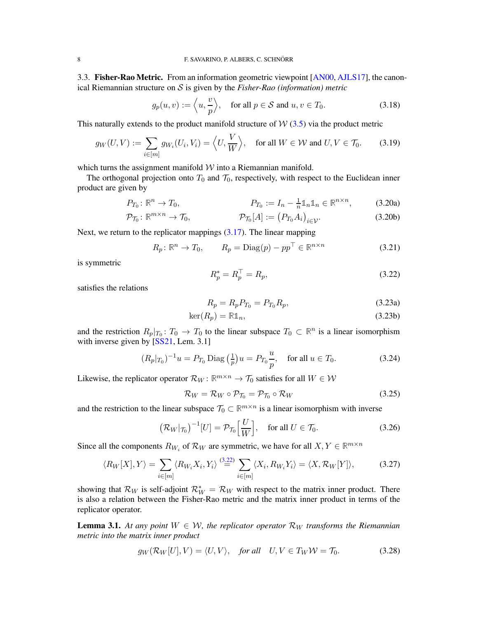<span id="page-7-0"></span>3.3. Fisher-Rao Metric. From an information geometric viewpoint [\[AN00,](#page-21-6) [AJLS17\]](#page-21-9), the canonical Riemannian structure on S is given by the *Fisher-Rao (information) metric*

$$
g_p(u, v) := \left\langle u, \frac{v}{p} \right\rangle, \quad \text{for all } p \in \mathcal{S} \text{ and } u, v \in T_0. \tag{3.18}
$$

This naturally extends to the product manifold structure of  $\mathcal{W}(3.5)$  $\mathcal{W}(3.5)$  via the product metric

<span id="page-7-2"></span>
$$
g_W(U, V) := \sum_{i \in [m]} g_{W_i}(U_i, V_i) = \left\langle U, \frac{V}{W} \right\rangle, \quad \text{for all } W \in \mathcal{W} \text{ and } U, V \in \mathcal{T}_0. \tag{3.19}
$$

which turns the assignment manifold  $W$  into a Riemannian manifold.

The orthogonal projection onto  $T_0$  and  $\mathcal{T}_0$ , respectively, with respect to the Euclidean inner product are given by

$$
P_{T_0}: \mathbb{R}^n \to T_0, \qquad P_{T_0} := I_n - \frac{1}{n} \mathbb{1}_n \mathbb{1}_n \in \mathbb{R}^{n \times n}, \qquad (3.20a)
$$

$$
\mathcal{P}_{\mathcal{T}_0}: \mathbb{R}^{m \times n} \to \mathcal{T}_0, \qquad \qquad \mathcal{P}_{\mathcal{T}_0}[A] := (P_{T_0} A_i)_{i \in \mathcal{V}}.\tag{3.20b}
$$

Next, we return to the replicator mappings [\(3.17\)](#page-6-4). The linear mapping

<span id="page-7-8"></span>
$$
R_p: \mathbb{R}^n \to T_0, \qquad R_p = \text{Diag}(p) - pp^\top \in \mathbb{R}^{n \times n} \tag{3.21}
$$

is symmetric

<span id="page-7-1"></span>
$$
R_p^* = R_p^\top = R_p,\tag{3.22}
$$

satisfies the relations

$$
R_p = R_p P_{T_0} = P_{T_0} R_p, \tag{3.23a}
$$

$$
\ker(R_p) = \mathbb{R} \mathbb{1}_n,\tag{3.23b}
$$

and the restriction  $R_p|_{T_0}: T_0 \to T_0$  to the linear subspace  $T_0 \subset \mathbb{R}^n$  is a linear isomorphism with inverse given by [\[SS21,](#page-21-14) Lem. 3.1]

$$
(R_p|_{T_0})^{-1}u = P_{T_0}\operatorname{Diag}\left(\frac{1}{p}\right)u = P_{T_0}\frac{u}{p}, \quad \text{for all } u \in T_0. \tag{3.24}
$$

Likewise, the replicator operator  $\mathcal{R}_W$ :  $\mathbb{R}^{m \times n} \to \mathcal{T}_0$  satisfies for all  $W \in \mathcal{W}$ 

<span id="page-7-4"></span>
$$
\mathcal{R}_W = \mathcal{R}_W \circ \mathcal{P}_{\mathcal{T}_0} = \mathcal{P}_{\mathcal{T}_0} \circ \mathcal{R}_W \tag{3.25}
$$

and the restriction to the linear subspace  $\mathcal{T}_0 \subset \mathbb{R}^{m \times n}$  is a linear isomorphism with inverse

<span id="page-7-5"></span>
$$
\left(\mathcal{R}_W|\mathcal{T}_0\right)^{-1}[U] = \mathcal{P}_{\mathcal{T}_0}\left[\frac{U}{W}\right], \quad \text{for all } U \in \mathcal{T}_0. \tag{3.26}
$$

Since all the components  $R_{W_i}$  of  $\mathcal{R}_W$  are symmetric, we have for all  $X, Y \in \mathbb{R}^{m \times n}$ 

<span id="page-7-3"></span>
$$
\langle R_W[X], Y \rangle = \sum_{i \in [m]} \langle R_{W_i} X_i, Y_i \rangle \stackrel{(3.22)}{=} \sum_{i \in [m]} \langle X_i, R_{W_i} Y_i \rangle = \langle X, \mathcal{R}_W[Y] \rangle, \tag{3.27}
$$

showing that  $\mathcal{R}_W$  is self-adjoint  $\mathcal{R}_W^* = \mathcal{R}_W$  with respect to the matrix inner product. There is also a relation between the Fisher-Rao metric and the matrix inner product in terms of the replicator operator.

<span id="page-7-6"></span>**Lemma 3.1.** At any point  $W \in W$ , the replicator operator  $\mathcal{R}_W$  transforms the Riemannian *metric into the matrix inner product*

<span id="page-7-7"></span>
$$
g_W(\mathcal{R}_W[U], V) = \langle U, V \rangle, \quad \text{for all} \quad U, V \in T_W \mathcal{W} = \mathcal{T}_0. \tag{3.28}
$$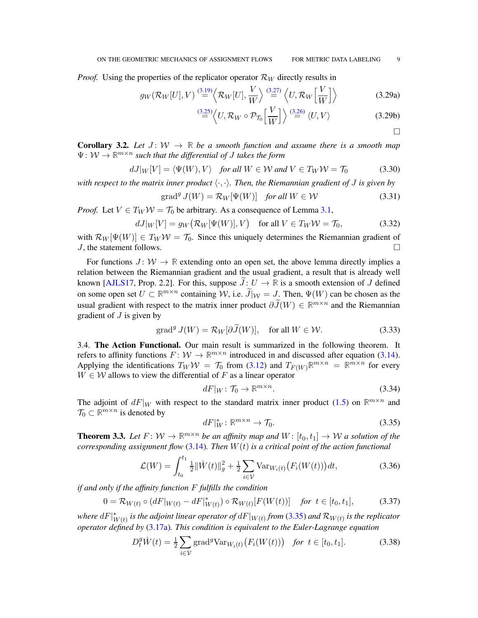*Proof.* Using the properties of the replicator operator  $\mathcal{R}_W$  directly results in

$$
g_W(\mathcal{R}_W[U], V) \stackrel{(3.19)}{=} \left\langle \mathcal{R}_W[U], \frac{V}{W} \right\rangle \stackrel{(3.27)}{=} \left\langle U, \mathcal{R}_W\left[\frac{V}{W}\right] \right\rangle \tag{3.29a}
$$

$$
\stackrel{(3.25)}{=} \left\langle U, \mathcal{R}_W \circ \mathcal{P}_{\mathcal{T}_0} \left[ \frac{V}{W} \right] \right\rangle \stackrel{(3.26)}{=} \left\langle U, V \right\rangle \tag{3.29b}
$$

<span id="page-8-6"></span>**Corollary 3.2.** Let  $J: W \to \mathbb{R}$  be a smooth function and assume there is a smooth map Ψ: W → **R** m×n *such that the differential of* J *takes the form*

$$
dJ|_W[V] = \langle \Psi(W), V \rangle \quad \text{for all } W \in \mathcal{W} \text{ and } V \in T_W \mathcal{W} = T_0 \tag{3.30}
$$

*with respect to the matrix inner product*  $\langle \cdot, \cdot \rangle$ *. Then, the Riemannian gradient of* J *is given by* 

$$
\operatorname{grad}^{g} J(W) = \mathcal{R}_{W}[\Psi(W)] \quad \text{for all } W \in \mathcal{W}
$$
\n(3.31)

*Proof.* Let  $V \in T_W W = T_0$  be arbitrary. As a consequence of Lemma [3.1,](#page-7-6)

$$
dJ|_W[V] = g_W(\mathcal{R}_W[\Psi(W)], V) \quad \text{for all } V \in T_W \mathcal{W} = \mathcal{T}_0,
$$
 (3.32)

with  $\mathcal{R}_W[\Psi(W)] \in T_W \mathcal{W} = \mathcal{T}_0$ . Since this uniquely determines the Riemannian gradient of  $J$ , the statement follows.

For functions  $J: \mathcal{W} \to \mathbb{R}$  extending onto an open set, the above lemma directly implies a relation between the Riemannian gradient and the usual gradient, a result that is already well known [\[AJLS17,](#page-21-9) Prop. 2.2]. For this, suppose  $\tilde{J}: U \to \mathbb{R}$  is a smooth extension of J defined on some open set  $U \subset \mathbb{R}^{m \times n}$  containing W, i.e.  $\widetilde{J}|_{W} = J$ . Then,  $\Psi(W)$  can be chosen as the usual gradient with respect to the matrix inner product  $\partial \tilde{J}(W) \in \mathbb{R}^{m \times n}$  and the Riemannian gradient of  $J$  is given by

$$
\operatorname{grad}^{g} J(W) = \mathcal{R}_{W}[\partial \widetilde{J}(W)], \quad \text{for all } W \in \mathcal{W}.
$$
 (3.33)

<span id="page-8-0"></span>3.4. The Action Functional. Our main result is summarized in the following theorem. It refers to affinity functions  $F: W \to \mathbb{R}^{m \times n}$  introduced in and discussed after equation [\(3.14\)](#page-6-5). Applying the identifications  $T_W W = T_0$  from [\(3.12\)](#page-6-6) and  $T_{F(W)} \mathbb{R}^{m \times n} = \mathbb{R}^{m \times n}$  for every  $W \in \mathcal{W}$  allows to view the differential of F as a linear operator

$$
dF|_{W} \colon \mathcal{T}_0 \to \mathbb{R}^{m \times n}.\tag{3.34}
$$

The adjoint of  $dF|_W$  with respect to the standard matrix inner product [\(1.5\)](#page-2-4) on  $\mathbb{R}^{m \times n}$  and  $\mathcal{T}_0 \subset \mathbb{R}^{m \times n}$  is denoted by

<span id="page-8-2"></span>
$$
dF|_W^* \colon \mathbb{R}^{m \times n} \to \mathcal{T}_0. \tag{3.35}
$$

<span id="page-8-1"></span>**Theorem 3.3.** Let  $F: W \to \mathbb{R}^{m \times n}$  be an affinity map and  $W: [t_0, t_1] \to W$  a solution of the *corresponding assignment flow* [\(3.14\)](#page-6-5)*. Then* W(t) *is a critical point of the action functional*

<span id="page-8-4"></span>
$$
\mathcal{L}(W) = \int_{t_0}^{t_1} \frac{1}{2} ||\dot{W}(t)||_g^2 + \frac{1}{2} \sum_{i \in \mathcal{V}} \text{Var}_{W_i(t)} \big( F_i(W(t)) \big) dt,\tag{3.36}
$$

*if and only if the affinity function* F *fulfills the condition*

<span id="page-8-3"></span>
$$
0 = \mathcal{R}_{W(t)} \circ (dF|_{W(t)} - dF|_{W(t)}^{*}) \circ \mathcal{R}_{W(t)}[F(W(t))] \quad \text{for } t \in [t_0, t_1], \tag{3.37}
$$

where  $dF|_{V}^{*}$  $_{W(t)}^{*}$  is the adjoint linear operator of  $dF|_{W(t)}$  from [\(3.35\)](#page-8-2) and  $\mathcal{R}_{W(t)}$  is the replicator *operator defined by* [\(3.17a\)](#page-6-7)*. This condition is equivalent to the Euler-Lagrange equation*

<span id="page-8-5"></span>
$$
D_t^g \dot{W}(t) = \frac{1}{2} \sum_{i \in \mathcal{V}} \text{grad}^g \text{Var}_{W_i(t)} \big( F_i(W(t)) \big) \quad \text{for } t \in [t_0, t_1]. \tag{3.38}
$$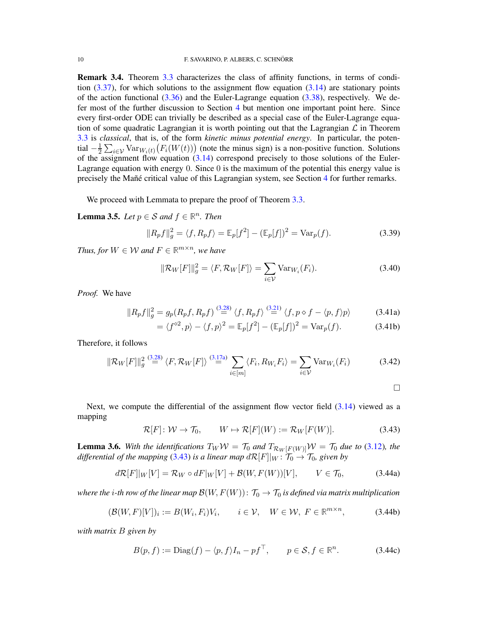Remark 3.4. Theorem [3.3](#page-8-1) characterizes the class of affinity functions, in terms of condition  $(3.37)$ , for which solutions to the assignment flow equation  $(3.14)$  are stationary points of the action functional  $(3.36)$  and the Euler-Lagrange equation  $(3.38)$ , respectively. We defer most of the further discussion to Section [4](#page-12-0) but mention one important point here. Since every first-order ODE can trivially be described as a special case of the Euler-Lagrange equation of some quadratic Lagrangian it is worth pointing out that the Lagrangian  $\mathcal L$  in Theorem [3.3](#page-8-1) is *classical*, that is, of the form *kinetic minus potential energy*. In particular, the potential  $-\frac{1}{2}$  $\frac{1}{2} \sum_{i \in \mathcal{V}} \text{Var}_{W_i(t)}(F_i(W(t)))$  (note the minus sign) is a non-positive function. Solutions of the assignment flow equation  $(3.14)$  correspond precisely to those solutions of the Euler-Lagrange equation with energy  $0$ . Since  $0$  is the maximum of the potential this energy value is precisely the Mañé critical value of this Lagrangian system, see Section [4](#page-12-0) for further remarks.

We proceed with Lemmata to prepare the proof of Theorem [3.3.](#page-8-1)

<span id="page-9-3"></span>**Lemma 3.5.** *Let*  $p \in S$  *and*  $f \in \mathbb{R}^n$ *. Then* 

$$
||R_p f||_g^2 = \langle f, R_p f \rangle = \mathbb{E}_p[f^2] - (\mathbb{E}_p[f])^2 = \text{Var}_p(f).
$$
 (3.39)

*Thus, for*  $W \in \mathcal{W}$  and  $F \in \mathbb{R}^{m \times n}$ , we have

<span id="page-9-5"></span>
$$
\|\mathcal{R}_W[F]\|_g^2 = \langle F, \mathcal{R}_W[F] \rangle = \sum_{i \in \mathcal{V}} \text{Var}_{W_i}(F_i). \tag{3.40}
$$

*Proof.* We have

$$
||R_p f||_g^2 = g_p(R_p f, R_p f) \stackrel{(3.28)}{=} \langle f, R_p f \rangle \stackrel{(3.21)}{=} \langle f, p \diamond f - \langle p, f \rangle p \rangle \tag{3.41a}
$$

$$
= \langle f^{\diamond 2}, p \rangle - \langle f, p \rangle^2 = \mathbb{E}_p[f^2] - (\mathbb{E}_p[f])^2 = \text{Var}_p(f). \tag{3.41b}
$$

Therefore, it follows

$$
\|\mathcal{R}_W[F]\|_g^2 \stackrel{(3.28)}{=} \langle F, \mathcal{R}_W[F] \rangle \stackrel{(3.17a)}{=} \sum_{i \in [m]} \langle F_i, R_{W_i} F_i \rangle = \sum_{i \in \mathcal{V}} \text{Var}_{W_i}(F_i) \tag{3.42}
$$

<span id="page-9-4"></span><span id="page-9-2"></span> $\Box$ 

Next, we compute the differential of the assignment flow vector field  $(3.14)$  viewed as a mapping

<span id="page-9-0"></span> $\mathcal{R}[F]: \mathcal{W} \to \mathcal{T}_0, \qquad W \mapsto \mathcal{R}[F](W) := \mathcal{R}_W[F(W)].$  (3.43)

<span id="page-9-1"></span>**Lemma 3.6.** With the identifications  $T_W W = T_0$  and  $T_{\mathcal{R}_W[F(W)]} W = T_0$  due to [\(3.12\)](#page-6-6), the *differential of the mapping* [\(3.43\)](#page-9-0) *is a linear map*  $d\mathcal{R}[F||_W : \mathcal{T}_0 \to \mathcal{T}_0$ *, given by* 

$$
d\mathcal{R}[F]|_W[V] = \mathcal{R}_W \circ dF|_W[V] + \mathcal{B}(W, F(W))[V], \qquad V \in \mathcal{T}_0,
$$
\n(3.44a)

*where the i-th row of the linear map*  $\mathcal{B}(W, F(W))$ :  $\mathcal{T}_0 \to \mathcal{T}_0$  *is defined via matrix multiplication* 

$$
(\mathcal{B}(W,F)[V])_i := B(W_i, F_i)V_i, \qquad i \in \mathcal{V}, \quad W \in \mathcal{W}, \ F \in \mathbb{R}^{m \times n}, \tag{3.44b}
$$

*with matrix* B *given by*

$$
B(p, f) := \text{Diag}(f) - \langle p, f \rangle I_n - pf^\top, \qquad p \in \mathcal{S}, f \in \mathbb{R}^n. \tag{3.44c}
$$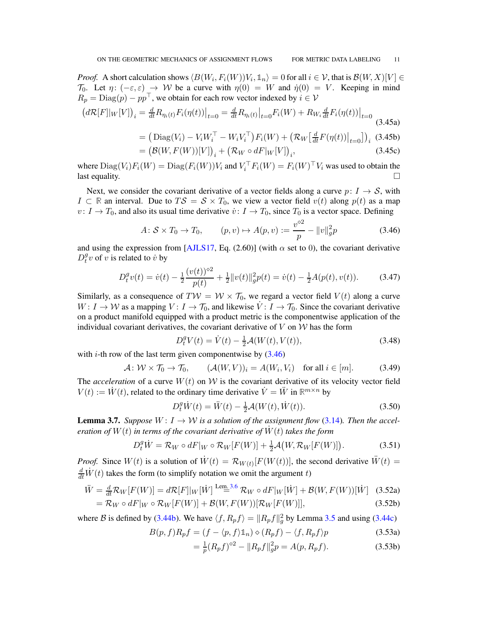*Proof.* A short calculation shows  $\langle B(W_i, F_i(W))V_i, \mathbb{1}_n \rangle = 0$  for all  $i \in \mathcal{V}$ , that is  $\mathcal{B}(W, X)[V] \in$  $\mathcal{T}_0$ . Let  $\eta: (-\varepsilon, \varepsilon) \to W$  be a curve with  $\eta(0) = W$  and  $\dot{\eta}(0) = V$ . Keeping in mind  $R_p = \text{Diag}(p) - pp^\top$ , we obtain for each row vector indexed by  $i \in \mathcal{V}$ 

$$
\left(d\mathcal{R}[F]|_W[V]\right)_i = \frac{d}{dt}R_{\eta_i(t)}F_i(\eta(t))\big|_{t=0} = \frac{d}{dt}R_{\eta_i(t)}\big|_{t=0}F_i(W) + R_{W_i}\frac{d}{dt}F_i(\eta(t))\big|_{t=0}
$$
\n(3.45a)\n
$$
= \left(\text{Diag}(V_i) - V_iW_i^\top - W_iV_i^\top\right)F_i(W) + \left(\mathcal{R}_W\left[\frac{d}{dt}F(\eta(t))\right]_{t=0}\right). \quad (3.45b)
$$

$$
= \left( \text{Diag}(V_i) - V_i W_i^{\top} - W_i V_i^{\top} \right) F_i(W) + \left( \mathcal{R}_W \left[ \frac{d}{dt} F(\eta(t)) \big|_{t=0} \right] \right)_i \tag{3.45b}
$$

$$
= \left( \mathcal{B}(W, F(W))[V] \right) + \left( \mathcal{R}_W \circ dF|_{W}[V] \right).
$$

$$
= \left(\mathcal{B}(W, F(W))[V]\right)_i + \left(\mathcal{R}_W \circ dF|_W[V]\right)_i,\tag{3.45c}
$$

where  $\text{Diag}(V_i)F_i(W) = \text{Diag}(F_i(W))V_i$  and  $V_i^{\top}F_i(W) = F_i(W)^{\top}V_i$  was used to obtain the last equality.  $\Box$ 

Next, we consider the covariant derivative of a vector fields along a curve  $p: I \to S$ , with *I* ⊂ **R** an interval. Due to  $TS = S \times T_0$ , we view a vector field  $v(t)$  along  $p(t)$  as a map  $v: I \to T_0$ , and also its usual time derivative  $\dot{v}: I \to T_0$ , since  $T_0$  is a vector space. Defining

<span id="page-10-0"></span>
$$
A: \mathcal{S} \times T_0 \to T_0, \qquad (p, v) \mapsto A(p, v) := \frac{v^{\diamond 2}}{p} - ||v||_g^2 p \tag{3.46}
$$

and using the expression from [\[AJLS17,](#page-21-9) Eq. (2.60)] (with  $\alpha$  set to 0), the covariant derivative  $D_t^g$  $y<sup>y</sup>$  v of v is related to  $\dot{v}$  by

$$
D_t^g v(t) = \dot{v}(t) - \frac{1}{2} \frac{(v(t))^{22}}{p(t)} + \frac{1}{2} ||v(t)||_g^2 p(t) = \dot{v}(t) - \frac{1}{2} A(p(t), v(t)).
$$
 (3.47)

Similarly, as a consequence of  $T W = W \times T_0$ , we regard a vector field  $V(t)$  along a curve  $W: I \to W$  as a mapping  $V: I \to \mathcal{T}_0$ , and likewise  $\dot{V}: I \to \mathcal{T}_0$ . Since the covariant derivative on a product manifold equipped with a product metric is the componentwise application of the individual covariant derivatives, the covariant derivative of  $V$  on  $W$  has the form

<span id="page-10-6"></span>
$$
D_t^g V(t) = \dot{V}(t) - \frac{1}{2} \mathcal{A}(W(t), V(t)),
$$
\n(3.48)

with *i*-th row of the last term given componentwise by  $(3.46)$ 

<span id="page-10-4"></span>
$$
\mathcal{A} \colon \mathcal{W} \times \mathcal{T}_0 \to \mathcal{T}_0, \qquad (\mathcal{A}(W, V))_i = A(W_i, V_i) \quad \text{for all } i \in [m]. \tag{3.49}
$$

The *acceleration* of a curve  $W(t)$  on W is the covariant derivative of its velocity vector field  $V(t) := \dot{W}(t)$ , related to the ordinary time derivative  $\dot{V} = \ddot{W}$  in  $\mathbb{R}^{m \times n}$  by

<span id="page-10-1"></span>
$$
D_t^g \dot{W}(t) = \ddot{W}(t) - \frac{1}{2} \mathcal{A}(W(t), \dot{W}(t)).
$$
\n(3.50)

<span id="page-10-5"></span>**Lemma 3.7.** *Suppose*  $W: I \rightarrow W$  *is a solution of the assignment flow* [\(3.14\)](#page-6-5)*. Then the acceleration of*  $W(t)$  *in terms of the covariant derivative of*  $\dot{W}(t)$  *takes the form* 

<span id="page-10-2"></span>
$$
D_t^g \dot{W} = \mathcal{R}_W \circ dF|_W \circ \mathcal{R}_W[F(W)] + \frac{1}{2} \mathcal{A}(W, \mathcal{R}_W[F(W)]). \tag{3.51}
$$

*Proof.* Since  $W(t)$  is a solution of  $\dot{W}(t) = \mathcal{R}_{W(t)}[F(W(t))]$ , the second derivative  $\ddot{W}(t) =$  $\frac{d}{dt}\dot{W}(t)$  takes the form (to simplify notation we omit the argument t)

$$
\ddot{W} = \frac{d}{dt} \mathcal{R}_W[F(W)] = d\mathcal{R}[F]|_W[\dot{W}] \stackrel{\text{Lem. 3.6}}{=} \mathcal{R}_W \circ dF|_W[\dot{W}] + \mathcal{B}(W, F(W))[\dot{W}] \tag{3.52a}
$$

$$
= \mathcal{R}_W \circ dF|_W \circ \mathcal{R}_W[F(W)] + \mathcal{B}(W, F(W))[\mathcal{R}_W[F(W)]], \tag{3.52b}
$$

where B is defined by [\(3.44b\)](#page-9-2). We have  $\langle f, R_p f \rangle = ||R_p f||_g^2$  by Lemma [3.5](#page-9-3) and using [\(3.44c\)](#page-9-4)

$$
B(p, f)R_p f = (f - \langle p, f \rangle \mathbb{1}_n) \diamond (R_p f) - \langle f, R_p f \rangle p \tag{3.53a}
$$

<span id="page-10-3"></span>
$$
= \frac{1}{p}(R_p f)^{\diamond 2} - ||R_p f||_g^2 p = A(p, R_p f).
$$
 (3.53b)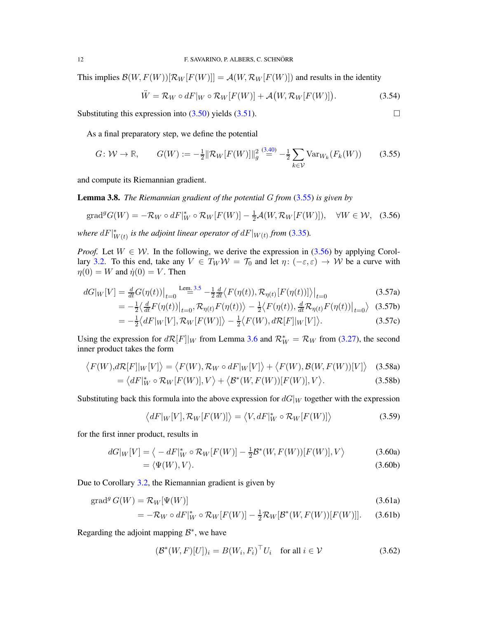This implies  $\mathcal{B}(W, F(W))[\mathcal{R}_W F(W)] = \mathcal{A}(W, \mathcal{R}_W F(W))]$  and results in the identity

$$
\ddot{W} = \mathcal{R}_W \circ dF|_W \circ \mathcal{R}_W[F(W)] + \mathcal{A}(W, \mathcal{R}_W[F(W)]). \tag{3.54}
$$

Substituting this expression into [\(3.50\)](#page-10-1) yields [\(3.51\)](#page-10-2).  $\Box$ 

As a final preparatory step, we define the potential

<span id="page-11-0"></span>
$$
G \colon \mathcal{W} \to \mathbb{R}, \qquad G(W) := -\frac{1}{2} \|\mathcal{R}_W[F(W)]\|_g^2 \stackrel{(3.40)}{=} -\frac{1}{2} \sum_{k \in \mathcal{V}} \text{Var}_{W_k}(F_k(W)) \tag{3.55}
$$

and compute its Riemannian gradient.

<span id="page-11-4"></span>Lemma 3.8. *The Riemannian gradient of the potential* G *from* [\(3.55\)](#page-11-0) *is given by*

<span id="page-11-1"></span>
$$
\text{grad}^g G(W) = -\mathcal{R}_W \circ dF|_W^* \circ \mathcal{R}_W[F(W)] - \frac{1}{2}\mathcal{A}(W, \mathcal{R}_W[F(W)]), \quad \forall W \in \mathcal{W}, \tag{3.56}
$$

where  $dF|_{V}^{*}$  $_{W(t)}^{*}$  is the adjoint linear operator of  $dF|_{W(t)}$  from [\(3.35\)](#page-8-2).

*Proof.* Let  $W \in \mathcal{W}$ . In the following, we derive the expression in [\(3.56\)](#page-11-1) by applying Corol-lary [3.2.](#page-8-6) To this end, take any  $V \in T_W W = T_0$  and let  $\eta: (-\varepsilon, \varepsilon) \to W$  be a curve with  $\eta(0) = W$  and  $\dot{\eta}(0) = V$ . Then

$$
dG|_W[V] = \frac{d}{dt}G(\eta(t))\Big|_{t=0} \stackrel{\text{Lem. 3.5}}{=} -\frac{1}{2}\frac{d}{dt}\big\langle F(\eta(t)), \mathcal{R}_{\eta(t)}[F(\eta(t))] \big\rangle\Big|_{t=0} \tag{3.57a}
$$

$$
= -\frac{1}{2} \langle \frac{d}{dt} F(\eta(t)) \big|_{t=0}, \mathcal{R}_{\eta(t)} F(\eta(t)) \rangle - \frac{1}{2} \langle F(\eta(t)), \frac{d}{dt} \mathcal{R}_{\eta(t)} F(\eta(t)) \big|_{t=0} \rangle \tag{3.57b}
$$

$$
= -\frac{1}{2} \langle dF|_{W}[V], \mathcal{R}_{W}[F(W)] \rangle - \frac{1}{2} \langle F(W), d\mathcal{R}[F]|_{W}[V] \rangle.
$$
 (3.57c)

Using the expression for  $d\mathcal{R}[F]|_W$  from Lemma [3.6](#page-9-1) and  $\mathcal{R}_W^* = \mathcal{R}_W$  from [\(3.27\)](#page-7-3), the second inner product takes the form

$$
\langle F(W), d\mathcal{R}[F]|_{W}[V] \rangle = \langle F(W), \mathcal{R}_{W} \circ dF|_{W}[V] \rangle + \langle F(W), \mathcal{B}(W, F(W))[V] \rangle \quad (3.58a)
$$

$$
= \langle dF|_{W}^{*} \circ \mathcal{R}_{W}[F(W)], V \rangle + \langle \mathcal{B}^{*}(W, F(W))[F(W)], V \rangle. \tag{3.58b}
$$

Substituting back this formula into the above expression for  $dG|_W$  together with the expression

$$
\langle dF|_W[V], \mathcal{R}_W[F(W)] \rangle = \langle V, dF|_W^* \circ \mathcal{R}_W[F(W)] \rangle \tag{3.59}
$$

for the first inner product, results in

$$
dG|_W[V] = \langle -dF|_W^* \circ \mathcal{R}_W[F(W)] - \frac{1}{2} \mathcal{B}^*(W, F(W))[F(W)], V \rangle \tag{3.60a}
$$

$$
= \langle \Psi(W), V \rangle. \tag{3.60b}
$$

Due to Corollary [3.2,](#page-8-6) the Riemannian gradient is given by

$$
\operatorname{grad}^g G(W) = \mathcal{R}_W[\Psi(W)] \tag{3.61a}
$$

$$
= -\mathcal{R}_W \circ dF|_W^* \circ \mathcal{R}_W[F(W)] - \frac{1}{2}\mathcal{R}_W[\mathcal{B}^*(W, F(W))[F(W)]]. \tag{3.61b}
$$

Regarding the adjoint mapping  $\mathcal{B}^*$ , we have

<span id="page-11-3"></span><span id="page-11-2"></span>
$$
(\mathcal{B}^*(W, F)[U])_i = B(W_i, F_i)^\top U_i \quad \text{for all } i \in \mathcal{V}
$$
 (3.62)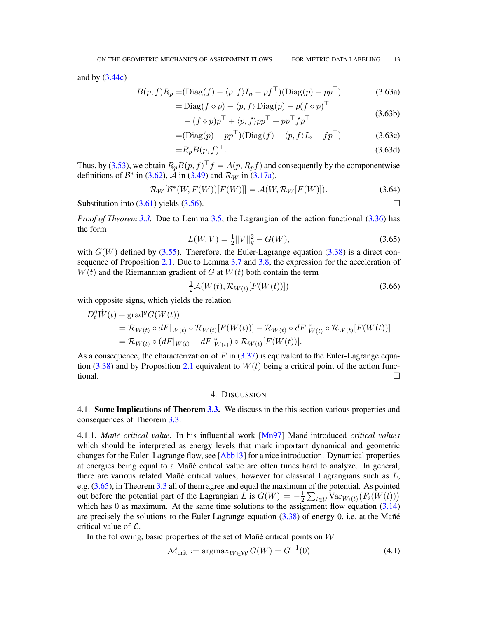and by  $(3.44c)$ 

$$
B(p, f)R_p = (\text{Diag}(f) - \langle p, f \rangle I_n - pf^\top)(\text{Diag}(p) - pp^\top)
$$
(3.63a)

$$
= \text{Diag}(f \diamond p) - \langle p, f \rangle \text{Diag}(p) - p(f \diamond p)^{\top}
$$
\n(3.63b)

$$
- (f \diamond p)p^{\top} + \langle p, f \rangle pp^{\top} + pp^{\top}fp^{\top}
$$
\n
$$
(5.656)
$$

$$
= (\text{Diag}(p) - pp^{\top})(\text{Diag}(f) - \langle p, f \rangle I_n - fp^{\top})
$$
\n(3.63c)

$$
=R_p B(p, f)^\top. \tag{3.63d}
$$

Thus, by [\(3.53\)](#page-10-3), we obtain  $R_p B(p, f)^\top f = A(p, R_p f)$  and consequently by the componentwise definitions of  $\mathcal{B}^*$  in [\(3.62\)](#page-11-2),  $\overline{\mathcal{A}}$  in [\(3.49\)](#page-10-4) and  $\mathcal{R}_W$  in [\(3.17a\)](#page-6-7),

$$
\mathcal{R}_W[\mathcal{B}^*(W, F(W))[F(W)]] = \mathcal{A}(W, \mathcal{R}_W[F(W)]). \tag{3.64}
$$

Substitution into  $(3.61)$  yields  $(3.56)$ .

*Proof of Theorem [3.3.](#page-8-1)* Due to Lemma [3.5,](#page-9-3) the Lagrangian of the action functional [\(3.36\)](#page-8-4) has the form

<span id="page-12-2"></span>
$$
L(W, V) = \frac{1}{2} ||V||_g^2 - G(W),
$$
\n(3.65)

with  $G(W)$  defined by [\(3.55\)](#page-11-0). Therefore, the Euler-Lagrange equation [\(3.38\)](#page-8-5) is a direct consequence of Proposition [2.1.](#page-5-6) Due to Lemma [3.7](#page-10-5) and [3.8,](#page-11-4) the expression for the acceleration of  $W(t)$  and the Riemannian gradient of G at  $W(t)$  both contain the term

$$
\frac{1}{2}\mathcal{A}(W(t), \mathcal{R}_{W(t)}[F(W(t))])\tag{3.66}
$$

with opposite signs, which yields the relation

$$
D_t^g \dot{W}(t) + \text{grad}^g G(W(t))
$$
  
=  $\mathcal{R}_{W(t)} \circ dF|_{W(t)} \circ \mathcal{R}_{W(t)}[F(W(t))] - \mathcal{R}_{W(t)} \circ dF|_{W(t)}^* \circ \mathcal{R}_{W(t)}[F(W(t))]$   
=  $\mathcal{R}_{W(t)} \circ (dF|_{W(t)} - dF|_{W(t)}^*) \circ \mathcal{R}_{W(t)}[F(W(t))].$ 

As a consequence, the characterization of F in  $(3.37)$  is equivalent to the Euler-Lagrange equa-tion [\(3.38\)](#page-8-5) and by Proposition [2.1](#page-5-6) equivalent to  $W(t)$  being a critical point of the action functional.

## 4. DISCUSSION

<span id="page-12-1"></span><span id="page-12-0"></span>4.1. Some Implications of Theorem [3.3.](#page-8-1) We discuss in the this section various properties and consequences of Theorem [3.3.](#page-8-1)

4.1.1. *Man˜e critical value. ´* In his influential work [\[Mn97\]](#page-21-15) Ma ˜n´e introduced *critical values* which should be interpreted as energy levels that mark important dynamical and geometric changes for the Euler–Lagrange flow, see [\[Abb13\]](#page-21-16) for a nice introduction. Dynamical properties at energies being equal to a Mañé critical value are often times hard to analyze. In general, there are various related Mañé critical values, however for classical Lagrangians such as  $L$ , e.g. [\(3.65\)](#page-12-2), in Theorem [3.3](#page-8-1) all of them agree and equal the maximum of the potential. As pointed out before the potential part of the Lagrangian  $\hat{L}$  is  $G(W) = -\frac{1}{2} \sum_{i \in \mathcal{V}} Var_{W_i(t)}(F_i(W(t)))$ which has 0 as maximum. At the same time solutions to the assignment flow equation  $(3.14)$ are precisely the solutions to the Euler-Lagrange equation  $(3.38)$  of energy 0, i.e. at the Mañé critical value of  $\mathcal{L}$ .

In the following, basic properties of the set of Mañé critical points on  $W$ 

<span id="page-12-3"></span>
$$
\mathcal{M}_{\text{crit}} := \operatorname{argmax}_{W \in \mathcal{W}} G(W) = G^{-1}(0) \tag{4.1}
$$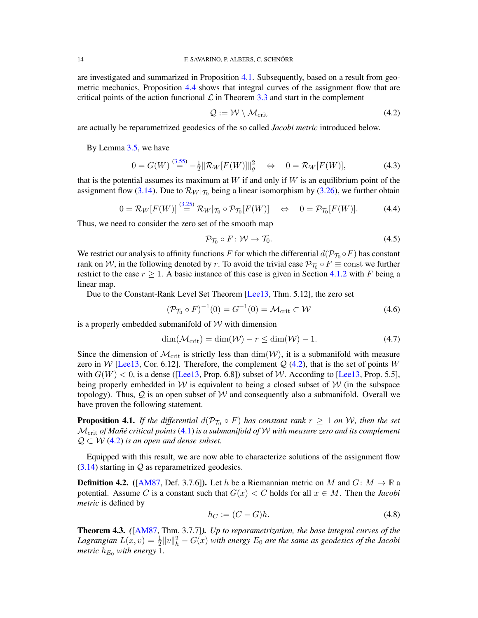<span id="page-13-1"></span>
$$
Q := \mathcal{W} \setminus \mathcal{M}_{\text{crit}} \tag{4.2}
$$

are actually be reparametrized geodesics of the so called *Jacobi metric* introduced below.

By Lemma [3.5,](#page-9-3) we have

<span id="page-13-2"></span>
$$
0 = G(W) \stackrel{(3.55)}{=} -\frac{1}{2} ||\mathcal{R}_W[F(W)]||_g^2 \iff 0 = \mathcal{R}_W[F(W)], \tag{4.3}
$$

that is the potential assumes its maximum at  $W$  if and only if  $W$  is an equilibrium point of the assignment flow [\(3.14\)](#page-6-5). Due to  $\mathcal{R}_W|_{\mathcal{T}_0}$  being a linear isomorphism by [\(3.26\)](#page-7-5), we further obtain

<span id="page-13-4"></span>
$$
0 = \mathcal{R}_W[F(W)] \stackrel{(3.25)}{=} \mathcal{R}_W |_{\mathcal{T}_0} \circ \mathcal{P}_{\mathcal{T}_0}[F(W)] \quad \Leftrightarrow \quad 0 = \mathcal{P}_{\mathcal{T}_0}[F(W)]. \tag{4.4}
$$

Thus, we need to consider the zero set of the smooth map

$$
\mathcal{P}_{\mathcal{T}_0} \circ F : \mathcal{W} \to \mathcal{T}_0. \tag{4.5}
$$

We restrict our analysis to affinity functions F for which the differential  $d(\mathcal{P}_{\mathcal{T}_0} \circ F)$  has constant rank on W, in the following denoted by r. To avoid the trivial case  $\mathcal{P}_{\mathcal{T}_0} \circ F \equiv \text{const}$  we further restrict to the case  $r \geq 1$ . A basic instance of this case is given in Section [4.1.2](#page-14-0) with F being a linear map.

Due to the Constant-Rank Level Set Theorem [\[Lee13,](#page-21-17) Thm. 5.12], the zero set

<span id="page-13-5"></span>
$$
(\mathcal{P}_{\mathcal{T}_0} \circ F)^{-1}(0) = G^{-1}(0) = \mathcal{M}_{\text{crit}} \subset \mathcal{W}
$$
\n
$$
(4.6)
$$

is a properly embedded submanifold of  $W$  with dimension

<span id="page-13-6"></span>
$$
\dim(\mathcal{M}_{\text{crit}}) = \dim(\mathcal{W}) - r \le \dim(\mathcal{W}) - 1. \tag{4.7}
$$

Since the dimension of  $\mathcal{M}_{\text{crit}}$  is strictly less than  $\dim(\mathcal{W})$ , it is a submanifold with measure zero in W [\[Lee13,](#page-21-17) Cor. 6.12]. Therefore, the complement  $Q$  [\(4.2\)](#page-13-1), that is the set of points W with  $G(W) < 0$ , is a dense ([\[Lee13,](#page-21-17) Prop. 6.8]) subset of W. According to [\[Lee13,](#page-21-17) Prop. 5.5], being properly embedded in W is equivalent to being a closed subset of  $W$  (in the subspace topology). Thus,  $Q$  is an open subset of W and consequently also a submanifold. Overall we have proven the following statement.

<span id="page-13-0"></span>**Proposition 4.1.** If the differential  $d(\mathcal{P}_{\mathcal{T}_0} \circ F)$  has constant rank  $r \geq 1$  on W, then the set Mcrit *of Man˜e critical points ´* [\(4.1\)](#page-12-3) *is a submanifold of* W *with measure zero and its complement*  $\mathcal{Q} \subset \mathcal{W}$  [\(4.2\)](#page-13-1) *is an open and dense subset.* 

Equipped with this result, we are now able to characterize solutions of the assignment flow  $(3.14)$  starting in  $Q$  as reparametrized geodesics.

**Definition 4.2.** ([\[AM87,](#page-21-13) Def. 3.7.6]). Let h be a Riemannian metric on M and  $G: M \to \mathbb{R}$  a potential. Assume C is a constant such that  $G(x) < C$  holds for all  $x \in M$ . Then the *Jacobi metric* is defined by

$$
h_C := (C - G)h. \tag{4.8}
$$

<span id="page-13-3"></span>Theorem 4.3. *(*[\[AM87,](#page-21-13) Thm. 3.7.7]*). Up to reparametrization, the base integral curves of the* Lagrangian  $L(x, v) = \frac{1}{2} ||v||_h^2 - G(x)$  with energy  $E_0$  are the same as geodesics of the Jacobi *metric*  $h_{E_0}$  *with energy* 1.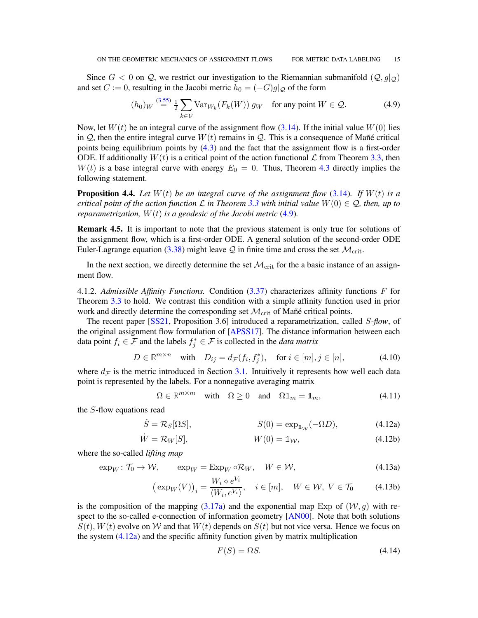Since  $G < 0$  on Q, we restrict our investigation to the Riemannian submanifold  $(Q, g|_Q)$ and set  $C := 0$ , resulting in the Jacobi metric  $h_0 = (-G)g|_{Q}$  of the form

<span id="page-14-2"></span>
$$
(h_0)_W \stackrel{(3.55)}{=} \frac{1}{2} \sum_{k \in \mathcal{V}} \text{Var}_{W_k}(F_k(W)) g_W \quad \text{for any point } W \in \mathcal{Q}.
$$

Now, let  $W(t)$  be an integral curve of the assignment flow [\(3.14\)](#page-6-5). If the initial value  $W(0)$  lies in  $Q$ , then the entire integral curve  $W(t)$  remains in  $Q$ . This is a consequence of Mañé critical points being equilibrium points by [\(4.3\)](#page-13-2) and the fact that the assignment flow is a first-order ODE. If additionally  $W(t)$  is a critical point of the action functional  $\mathcal L$  from Theorem [3.3,](#page-8-1) then  $W(t)$  is a base integral curve with energy  $E_0 = 0$ . Thus, Theorem [4.3](#page-13-3) directly implies the following statement.

<span id="page-14-1"></span>**Proposition 4.4.** Let  $W(t)$  be an integral curve of the assignment flow [\(3.14\)](#page-6-5). If  $W(t)$  is a *critical point of the action function*  $\mathcal L$  *in Theorem* [3.3](#page-8-1) with initial value  $W(0) \in \mathcal Q$ , then, up to *reparametrization,* W(t) *is a geodesic of the Jacobi metric* [\(4.9\)](#page-14-2)*.*

Remark 4.5. It is important to note that the previous statement is only true for solutions of the assignment flow, which is a first-order ODE. A general solution of the second-order ODE Euler-Lagrange equation [\(3.38\)](#page-8-5) might leave  $Q$  in finite time and cross the set  $\mathcal{M}_{\rm crit}$ .

In the next section, we directly determine the set  $\mathcal{M}_{\rm crit}$  for the a basic instance of an assignment flow.

<span id="page-14-0"></span>4.1.2. *Admissible Affinity Functions.* Condition [\(3.37\)](#page-8-3) characterizes affinity functions F for Theorem [3.3](#page-8-1) to hold. We contrast this condition with a simple affinity function used in prior work and directly determine the corresponding set  $\mathcal{M}_{\text{crit}}$  of Mañé critical points.

The recent paper [\[SS21,](#page-21-14) Proposition 3.6] introduced a reparametrization, called S-*flow*, of the original assignment flow formulation of [\[APSS17\]](#page-21-2). The distance information between each data point  $f_i \in \mathcal{F}$  and the labels  $f_j^* \in \mathcal{F}$  is collected in the *data matrix* 

$$
D \in \mathbb{R}^{m \times n} \quad \text{with} \quad D_{ij} = d_{\mathcal{F}}(f_i, f_j^*), \quad \text{for } i \in [m], j \in [n], \tag{4.10}
$$

where  $d_{\mathcal{F}}$  is the metric introduced in Section [3.1.](#page-5-2) Intuitively it represents how well each data point is represented by the labels. For a nonnegative averaging matrix

<span id="page-14-5"></span><span id="page-14-4"></span>
$$
\Omega \in \mathbb{R}^{m \times m} \quad \text{with} \quad \Omega \ge 0 \quad \text{and} \quad \Omega \mathbb{1}_m = \mathbb{1}_m,\tag{4.11}
$$

the S-flow equations read

$$
\dot{S} = \mathcal{R}_S[\Omega S], \qquad S(0) = \exp_{\mathbb{1}_{\mathcal{W}}}(-\Omega D), \qquad (4.12a)
$$

$$
\dot{W} = \mathcal{R}_W[S], \qquad W(0) = \mathbb{1}_{\mathcal{W}}, \qquad (4.12b)
$$

where the so-called *lifting map*

$$
\exp_W \colon \mathcal{T}_0 \to \mathcal{W}, \qquad \exp_W = \operatorname{Exp}_W \circ \mathcal{R}_W, \quad W \in \mathcal{W}, \tag{4.13a}
$$

$$
\left(\exp_W(V)\right)_i = \frac{W_i \diamond e^{V_i}}{\langle W_i, e^{V_i}\rangle}, \quad i \in [m], \quad W \in \mathcal{W}, \ V \in \mathcal{T}_0 \tag{4.13b}
$$

is the composition of the mapping [\(3.17a\)](#page-6-7) and the exponential map Exp of  $(W, g)$  with respect to the so-called e-connection of information geometry [\[AN00\]](#page-21-6). Note that both solutions  $S(t)$ ,  $W(t)$  evolve on W and that  $W(t)$  depends on  $S(t)$  but not vice versa. Hence we focus on the system [\(4.12a\)](#page-14-3) and the specific affinity function given by matrix multiplication

<span id="page-14-3"></span>
$$
F(S) = \Omega S. \tag{4.14}
$$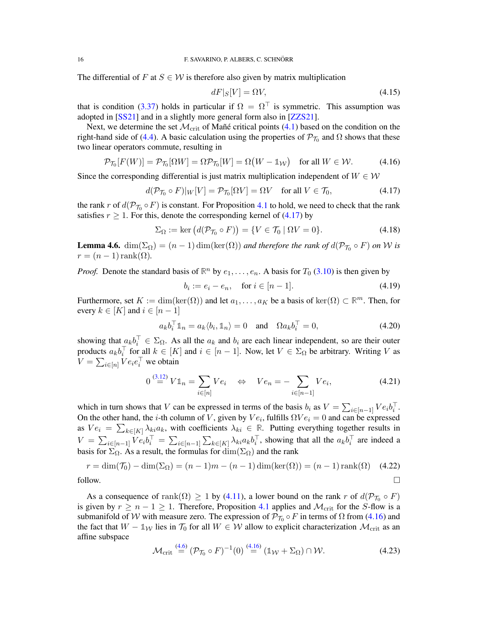The differential of F at  $S \in W$  is therefore also given by matrix multiplication

$$
dF|_{S}[V] = \Omega V,\tag{4.15}
$$

that is condition [\(3.37\)](#page-8-3) holds in particular if  $\Omega = \Omega^{\top}$  is symmetric. This assumption was adopted in [\[SS21\]](#page-21-14) and in a slightly more general form also in [\[ZZS21\]](#page-21-7).

Next, we determine the set  $\mathcal{M}_{\text{crit}}$  of Mañé critical points [\(4.1\)](#page-12-3) based on the condition on the right-hand side of [\(4.4\)](#page-13-4). A basic calculation using the properties of  $\mathcal{P}_{\mathcal{T}_0}$  and  $\Omega$  shows that these two linear operators commute, resulting in

<span id="page-15-1"></span>
$$
\mathcal{P}_{\mathcal{T}_0}[F(W)] = \mathcal{P}_{\mathcal{T}_0}[\Omega W] = \Omega \mathcal{P}_{\mathcal{T}_0}[W] = \Omega(W - \mathbb{1}_\mathcal{W}) \quad \text{for all } W \in \mathcal{W}.
$$
 (4.16)

Since the corresponding differential is just matrix multiplication independent of  $W \in \mathcal{W}$ 

<span id="page-15-0"></span>
$$
d(\mathcal{P}_{\mathcal{T}_0} \circ F)|_W[V] = \mathcal{P}_{\mathcal{T}_0}[\Omega V] = \Omega V \quad \text{for all } V \in \mathcal{T}_0,\tag{4.17}
$$

the rank r of  $d(\mathcal{P}_{\mathcal{T}_0} \circ F)$  is constant. For Proposition [4.1](#page-13-0) to hold, we need to check that the rank satisfies  $r > 1$ . For this, denote the corresponding kernel of [\(4.17\)](#page-15-0) by

$$
\Sigma_{\Omega} := \ker \left( d(\mathcal{P}_{\mathcal{T}_0} \circ F) \right) = \{ V \in \mathcal{T}_0 \mid \Omega V = 0 \}.
$$
\n(4.18)

<span id="page-15-2"></span>**Lemma 4.6.**  $\dim(\Sigma_{\Omega}) = (n-1)\dim(\ker(\Omega))$  *and therefore the rank of*  $d(\mathcal{P}_{\mathcal{T}_0} \circ F)$  *on* W *is*  $r = (n-1)\text{rank}(\Omega)$ .

*Proof.* Denote the standard basis of  $\mathbb{R}^n$  by  $e_1, \ldots, e_n$ . A basis for  $T_0$  [\(3.10\)](#page-6-8) is then given by

$$
b_i := e_i - e_n, \quad \text{for } i \in [n-1]. \tag{4.19}
$$

Furthermore, set  $K := \dim(\ker(\Omega))$  and let  $a_1, \ldots, a_K$  be a basis of  $\ker(\Omega) \subset \mathbb{R}^m$ . Then, for every  $k \in [K]$  and  $i \in [n-1]$ 

$$
a_k b_i^{\top} \mathbb{1}_n = a_k \langle b_i, \mathbb{1}_n \rangle = 0 \quad \text{and} \quad \Omega a_k b_i^{\top} = 0,
$$
 (4.20)

showing that  $a_k b_i^{\top} \in \Sigma_{\Omega}$ . As all the  $a_k$  and  $b_i$  are each linear independent, so are their outer products  $a_kb_i^{\top}$  for all  $k \in [K]$  and  $i \in [n-1]$ . Now, let  $V \in \Sigma_{\Omega}$  be arbitrary. Writing V as  $V = \sum_{i \in [n]} V e_i e_i^\top$  we obtain

$$
0 \stackrel{(3.12)}{=} V1\mathbb{1}_n = \sum_{i \in [n]} Ve_i \quad \Leftrightarrow \quad Ve_n = -\sum_{i \in [n-1]} Ve_i,\tag{4.21}
$$

which in turn shows that V can be expressed in terms of the basis  $b_i$  as  $V = \sum_{i \in [n-1]} V e_i b_i^{\top}$ . On the other hand, the *i*-th column of V, given by  $Ve_i$ , fulfills  $\Omega Ve_i = 0$  and can be expressed as  $Ve_i = \sum_{k \in [K]} \lambda_{ki} a_k$ , with coefficients  $\lambda_{ki} \in \mathbb{R}$ . Putting everything together results in  $V = \sum_{i \in [n-1]} V e_i b_i^{\top} = \sum_{i \in [n-1]} \sum_{k \in [K]} \lambda_{ki} a_k b_i^{\top}$ , showing that all the  $a_k b_i^{\top}$  are indeed a basis for  $\Sigma_{\Omega}$ . As a result, the formulas for  $\dim(\Sigma_{\Omega})$  and the rank

$$
r = \dim(\mathcal{T}_0) - \dim(\Sigma_{\Omega}) = (n-1)m - (n-1)\dim(\ker(\Omega)) = (n-1)\operatorname{rank}(\Omega) \quad (4.22)
$$
  
follow.

As a consequence of  $\text{rank}(\Omega) \geq 1$  by [\(4.11\)](#page-14-4), a lower bound on the rank r of  $d(\mathcal{P}_{\mathcal{T}_0} \circ F)$ is given by  $r \ge n - 1 \ge 1$ . Therefore, Proposition [4.1](#page-13-0) applies and  $\mathcal{M}_{\text{crit}}$  for the S-flow is a submanifold of W with measure zero. The expression of  $\mathcal{P}_{\mathcal{T}_0} \circ F$  in terms of  $\Omega$  from [\(4.16\)](#page-15-1) and the fact that  $W - \mathbb{1}_W$  lies in  $\mathcal{T}_0$  for all  $W \in \mathcal{W}$  allow to explicit characterization  $\mathcal{M}_{crit}$  as an affine subspace

$$
\mathcal{M}_{\rm crit} \stackrel{(4.6)}{=} (\mathcal{P}_{\mathcal{T}_0} \circ F)^{-1}(0) \stackrel{(4.16)}{=} (\mathbb{1}_{\mathcal{W}} + \Sigma_{\Omega}) \cap \mathcal{W}.
$$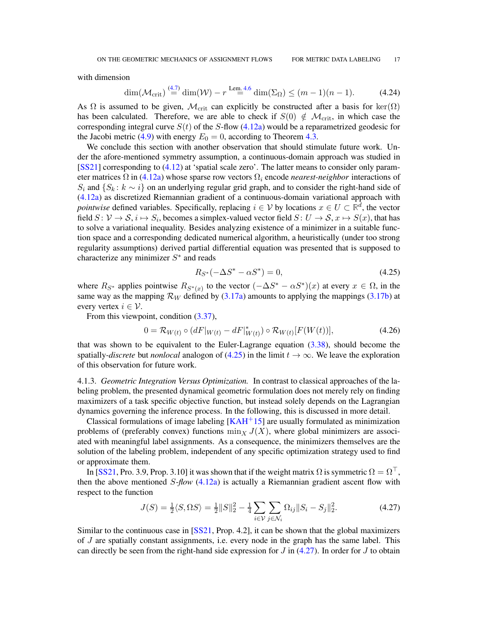with dimension

$$
\dim(\mathcal{M}_{\text{crit}}) \stackrel{(4.7)}{=} \dim(\mathcal{W}) - r \stackrel{\text{Lem. 4.6}}{=} \dim(\Sigma_{\Omega}) \le (m-1)(n-1). \tag{4.24}
$$

As  $\Omega$  is assumed to be given,  $\mathcal{M}_{\text{crit}}$  can explicitly be constructed after a basis for ker $(\Omega)$ has been calculated. Therefore, we are able to check if  $S(0) \notin \mathcal{M}_{\text{crit}}$ , in which case the corresponding integral curve  $S(t)$  of the S-flow [\(4.12a\)](#page-14-3) would be a reparametrized geodesic for the Jacobi metric [\(4.9\)](#page-14-2) with energy  $E_0 = 0$ , according to Theorem [4.3.](#page-13-3)

We conclude this section with another observation that should stimulate future work. Under the afore-mentioned symmetry assumption, a continuous-domain approach was studied in [\[SS21\]](#page-21-14) corresponding to [\(4.12\)](#page-14-5) at 'spatial scale zero'. The latter means to consider only parameter matrices  $\Omega$  in [\(4.12a\)](#page-14-3) whose sparse row vectors  $\Omega_i$  encode *nearest-neighbor* interactions of  $S_i$  and  $\{S_k : k \sim i\}$  on an underlying regular grid graph, and to consider the right-hand side of [\(4.12a\)](#page-14-3) as discretized Riemannian gradient of a continuous-domain variational approach with *pointwise* defined variables. Specifically, replacing  $i \in V$  by locations  $x \in U \subset \mathbb{R}^d$ , the vector field  $S \colon \mathcal{V} \to \mathcal{S}, i \mapsto S_i$ , becomes a simplex-valued vector field  $S \colon U \to \mathcal{S}, x \mapsto S(x)$ , that has to solve a variational inequality. Besides analyzing existence of a minimizer in a suitable function space and a corresponding dedicated numerical algorithm, a heuristically (under too strong regularity assumptions) derived partial differential equation was presented that is supposed to characterize any minimizer  $S^*$  and reads

<span id="page-16-0"></span>
$$
R_{S^*}(-\Delta S^* - \alpha S^*) = 0,\t\t(4.25)
$$

where  $R_{S^*}$  applies pointwise  $R_{S^*(x)}$  to the vector  $(-\Delta S^* - \alpha S^*)(x)$  at every  $x \in \Omega$ , in the same way as the mapping  $\mathcal{R}_W$  defined by [\(3.17a\)](#page-6-7) amounts to applying the mappings [\(3.17b\)](#page-6-9) at every vertex  $i \in \mathcal{V}$ .

From this viewpoint, condition  $(3.37)$ ,

$$
0 = \mathcal{R}_{W(t)} \circ (dF|_{W(t)} - dF|_{W(t)}^{*}) \circ \mathcal{R}_{W(t)}[F(W(t))],
$$
\n(4.26)

that was shown to be equivalent to the Euler-Lagrange equation [\(3.38\)](#page-8-5), should become the spatially-*discrete* but *nonlocal* analogon of  $(4.25)$  in the limit  $t \to \infty$ . We leave the exploration of this observation for future work.

4.1.3. *Geometric Integration Versus Optimization.* In contrast to classical approaches of the labeling problem, the presented dynamical geometric formulation does not merely rely on finding maximizers of a task specific objective function, but instead solely depends on the Lagrangian dynamics governing the inference process. In the following, this is discussed in more detail.

Classical formulations of image labeling  $[KAH<sup>+</sup>15]$  are usually formulated as minimization problems of (preferably convex) functions  $\min_X J(X)$ , where global minimizers are associated with meaningful label assignments. As a consequence, the minimizers themselves are the solution of the labeling problem, independent of any specific optimization strategy used to find or approximate them.

In [\[SS21,](#page-21-14) Pro. 3.9, Prop. 3.10] it was shown that if the weight matrix  $\Omega$  is symmetric  $\Omega = \Omega^{\top}$ , then the above mentioned S-*flow* [\(4.12a\)](#page-14-3) is actually a Riemannian gradient ascent flow with respect to the function

<span id="page-16-1"></span>
$$
J(S) = \frac{1}{2} \langle S, \Omega S \rangle = \frac{1}{2} ||S||_2^2 - \frac{1}{4} \sum_{i \in \mathcal{V}} \sum_{j \in \mathcal{N}_i} \Omega_{ij} ||S_i - S_j||_2^2.
$$
 (4.27)

Similar to the continuous case in [\[SS21,](#page-21-14) Prop. 4.2], it can be shown that the global maximizers of J are spatially constant assignments, i.e. every node in the graph has the same label. This can directly be seen from the right-hand side expression for  $J$  in [\(4.27\)](#page-16-1). In order for  $J$  to obtain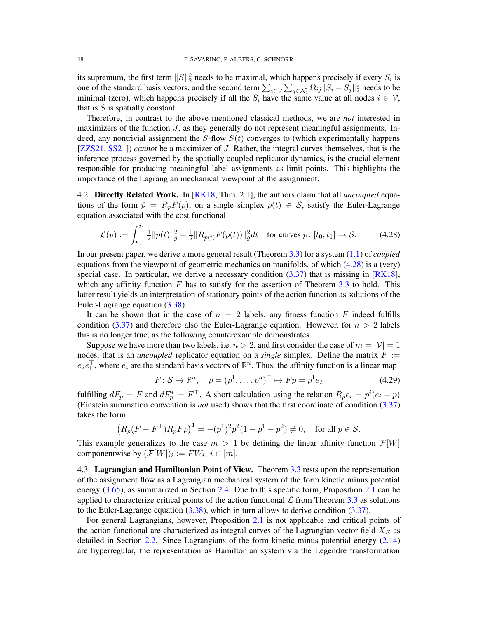its supremum, the first term  $||S||_2^2$  needs to be maximal, which happens precisely if every  $S_i$  is one of the standard basis vectors, and the second term  $\sum_{i \in \mathcal{V}} \sum_{j \in \mathcal{N}_i} \Omega_{ij} ||S_i - S_j||_2^2$  needs to be minimal (zero), which happens precisely if all the  $S_i$  have the same value at all nodes  $i \in \mathcal{V}$ , that is  $S$  is spatially constant.

Therefore, in contrast to the above mentioned classical methods, we are *not* interested in maximizers of the function  $J$ , as they generally do not represent meaningful assignments. Indeed, any nontrivial assignment the  $S$ -flow  $S(t)$  converges to (which experimentally happens [\[ZZS21,](#page-21-7) [SS21\]](#page-21-14)) *cannot* be a maximizer of J. Rather, the integral curves themselves, that is the inference process governed by the spatially coupled replicator dynamics, is the crucial element responsible for producing meaningful label assignments as limit points. This highlights the importance of the Lagrangian mechanical viewpoint of the assignment.

<span id="page-17-0"></span>4.2. Directly Related Work. In [\[RK18,](#page-21-12) Thm. 2.1], the authors claim that all *uncoupled* equations of the form  $\dot{p} = R_p F(p)$ , on a single simplex  $p(t) \in S$ , satisfy the Euler-Lagrange equation associated with the cost functional

<span id="page-17-2"></span>
$$
\mathcal{L}(p) := \int_{t_0}^{t_1} \frac{1}{2} ||\dot{p}(t)||_g^2 + \frac{1}{2} ||R_{p(t)}F(p(t))||_g^2 dt \quad \text{for curves } p \colon [t_0, t_1] \to \mathcal{S}.
$$
 (4.28)

In our present paper, we derive a more general result (Theorem [3.3\)](#page-8-1) for a system [\(1.1\)](#page-1-3) of *coupled* equations from the viewpoint of geometric mechanics on manifolds, of which [\(4.28\)](#page-17-2) is a (very) special case. In particular, we derive a necessary condition  $(3.37)$  that is missing in [\[RK18\]](#page-21-12), which any affinity function  $F$  has to satisfy for the assertion of Theorem [3.3](#page-8-1) to hold. This latter result yields an interpretation of stationary points of the action function as solutions of the Euler-Lagrange equation [\(3.38\)](#page-8-5).

It can be shown that in the case of  $n = 2$  labels, any fitness function F indeed fulfills condition [\(3.37\)](#page-8-3) and therefore also the Euler-Lagrange equation. However, for  $n > 2$  labels this is no longer true, as the following counterexample demonstrates.

Suppose we have more than two labels, i.e.  $n > 2$ , and first consider the case of  $m = |\mathcal{V}| = 1$ nodes, that is an *uncoupled* replicator equation on a *single* simplex. Define the matrix  $F :=$  $e_2e_1^{\top}$ , where  $e_i$  are the standard basis vectors of  $\mathbb{R}^n$ . Thus, the affinity function is a linear map

<span id="page-17-3"></span>
$$
F: \mathcal{S} \to \mathbb{R}^n, \quad p = (p^1, \dots, p^n)^\top \mapsto Fp = p^1 e_2 \tag{4.29}
$$

fulfilling  $dF_p = F$  and  $dF_p^* = F^{\top}$ . A short calculation using the relation  $R_p e_i = p^i (e_i - p)$ (Einstein summation convention is *not* used) shows that the first coordinate of condition [\(3.37\)](#page-8-3) takes the form

$$
(R_p(F - F^{\top})R_p F p)^1 = -(p^1)^2 p^2 (1 - p^1 - p^2) \neq 0, \text{ for all } p \in \mathcal{S}.
$$

This example generalizes to the case  $m > 1$  by defining the linear affinity function  $\mathcal{F}[W]$ componentwise by  $(\mathcal{F}[W])_i := FW_i, i \in [m]$ .

<span id="page-17-1"></span>4.3. Lagrangian and Hamiltonian Point of View. Theorem [3.3](#page-8-1) rests upon the representation of the assignment flow as a Lagrangian mechanical system of the form kinetic minus potential energy [\(3.65\)](#page-12-2), as summarized in Section [2.4.](#page-5-0) Due to this specific form, Proposition [2.1](#page-5-6) can be applied to characterize critical points of the action functional  $\mathcal L$  from Theorem [3.3](#page-8-1) as solutions to the Euler-Lagrange equation  $(3.38)$ , which in turn allows to derive condition  $(3.37)$ .

For general Lagrangians, however, Proposition [2.1](#page-5-6) is not applicable and critical points of the action functional are characterized as integral curves of the Lagrangian vector field  $X_F$  as detailed in Section [2.2.](#page-3-2) Since Lagrangians of the form kinetic minus potential energy [\(2.14\)](#page-5-3) are hyperregular, the representation as Hamiltonian system via the Legendre transformation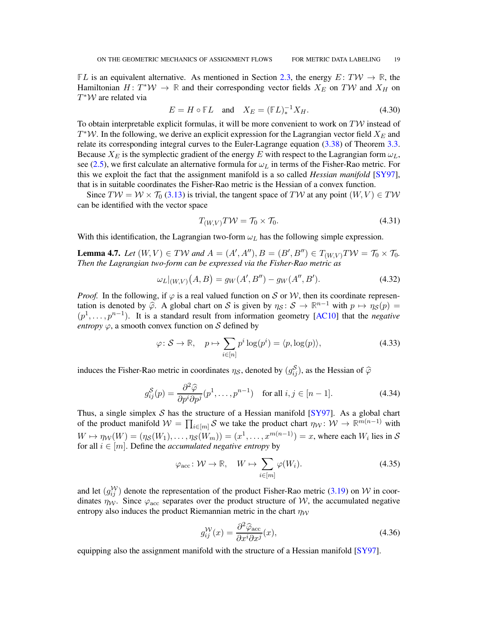**FL** is an equivalent alternative. As mentioned in Section [2.3,](#page-4-0) the energy  $E: TW \to \mathbb{R}$ , the Hamiltonian  $H: T^*W \to \mathbb{R}$  and their corresponding vector fields  $X_E$  on TW and  $X_H$  on  $T^*W$  are related via

$$
E = H \circ \mathbb{F}L \quad \text{and} \quad X_E = (\mathbb{F}L)^{-1}_* X_H. \tag{4.30}
$$

To obtain interpretable explicit formulas, it will be more convenient to work on  $T\mathcal{W}$  instead of  $T^*W$ . In the following, we derive an explicit expression for the Lagrangian vector field  $X_E$  and relate its corresponding integral curves to the Euler-Lagrange equation [\(3.38\)](#page-8-5) of Theorem [3.3.](#page-8-1) Because  $X_E$  is the symplectic gradient of the energy E with respect to the Lagrangian form  $\omega_L$ , see [\(2.5\)](#page-4-2), we first calculate an alternative formula for  $\omega_L$  in terms of the Fisher-Rao metric. For this we exploit the fact that the assignment manifold is a so called *Hessian manifold* [\[SY97\]](#page-21-19), that is in suitable coordinates the Fisher-Rao metric is the Hessian of a convex function.

Since  $TW = W \times T_0$  [\(3.13\)](#page-6-10) is trivial, the tangent space of TW at any point  $(W, V) \in TW$ can be identified with the vector space

$$
T_{(W,V)}T\mathcal{W} = \mathcal{T}_0 \times \mathcal{T}_0. \tag{4.31}
$$

With this identification, the Lagrangian two-form  $\omega_L$  has the following simple expression.

<span id="page-18-1"></span>**Lemma 4.7.** *Let*  $(W, V) \in TW$  *and*  $A = (A', A''), B = (B', B'') \in T_{(W,V)}TW = T_0 \times T_0$ *. Then the Lagrangian two-form can be expressed via the Fisher-Rao metric as*

$$
\omega_L|_{(W,V)}(A,B) = g_W(A',B'') - g_W(A'',B'). \tag{4.32}
$$

*Proof.* In the following, if  $\varphi$  is a real valued function on S or W, then its coordinate representation is denoted by  $\widetilde{\varphi}$ . A global chart on S is given by  $\eta_S : S \to \mathbb{R}^{n-1}$  with  $p \mapsto \eta_S(p) =$  $(p<sup>1</sup>, \ldots, p<sup>n-1</sup>)$ . It is a standard result from information geometry [\[AC10\]](#page-21-20) that the *negative entropy*  $\varphi$ , a smooth convex function on S defined by

$$
\varphi \colon \mathcal{S} \to \mathbb{R}, \quad p \mapsto \sum_{i \in [n]} p^i \log(p^i) = \langle p, \log(p) \rangle, \tag{4.33}
$$

induces the Fisher-Rao metric in coordinates  $\eta_{\mathcal{S}}$ , denoted by  $(g_{ij}^{\mathcal{S}})$ , as the Hessian of  $\widehat{\varphi}$ 

$$
g_{ij}^{\mathcal{S}}(p) = \frac{\partial^2 \widehat{\varphi}}{\partial p^i \partial p^j} (p^1, \dots, p^{n-1}) \quad \text{for all } i, j \in [n-1]. \tag{4.34}
$$

Thus, a single simplex  $S$  has the structure of a Hessian manifold [\[SY97\]](#page-21-19). As a global chart of the product manifold  $W = \prod_{i \in [m]} S$  we take the product chart  $\eta_W : W \to \mathbb{R}^{m(n-1)}$  with  $W \mapsto \eta_W(W) = (\eta_\mathcal{S}(W_1), \dots, \eta_\mathcal{S}(W_m)) = (x^1, \dots, x^{m(n-1)}) = x$ , where each  $W_i$  lies in  $\mathcal{S}$ for all  $i \in [m]$ . Define the *accumulated negative entropy* by

$$
\varphi_{\text{acc}} \colon \mathcal{W} \to \mathbb{R}, \quad W \mapsto \sum_{i \in [m]} \varphi(W_i). \tag{4.35}
$$

and let  $(g_{ij}^{\mathcal{W}})$  denote the representation of the product Fisher-Rao metric [\(3.19\)](#page-7-2) on W in coordinates  $\eta_{\mathcal{W}}$ . Since  $\varphi_{\text{acc}}$  separates over the product structure of W, the accumulated negative entropy also induces the product Riemannian metric in the chart  $\eta_W$ 

<span id="page-18-0"></span>
$$
g_{ij}^{\mathcal{W}}(x) = \frac{\partial^2 \widehat{\varphi}_{\text{acc}}}{\partial x^i \partial x^j}(x),\tag{4.36}
$$

equipping also the assignment manifold with the structure of a Hessian manifold [\[SY97\]](#page-21-19).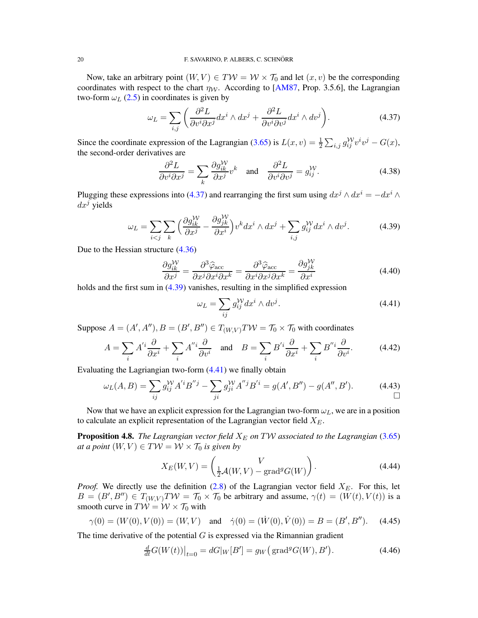Now, take an arbitrary point  $(W, V) \in TW = W \times T_0$  and let  $(x, v)$  be the corresponding coordinates with respect to the chart  $\eta_W$ . According to [\[AM87,](#page-21-13) Prop. 3.5.6], the Lagrangian two-form  $\omega_L$  [\(2.5\)](#page-4-2) in coordinates is given by

<span id="page-19-0"></span>
$$
\omega_L = \sum_{i,j} \left( \frac{\partial^2 L}{\partial v^i \partial x^j} dx^i \wedge dx^j + \frac{\partial^2 L}{\partial v^i \partial v^j} dx^i \wedge dv^j \right).
$$
 (4.37)

Since the coordinate expression of the Lagrangian [\(3.65\)](#page-12-2) is  $L(x, v) = \frac{1}{2} \sum_{i,j} g_{ij}^{W} v^i v^j - G(x)$ , the second-order derivatives are

$$
\frac{\partial^2 L}{\partial v^i \partial x^j} = \sum_k \frac{\partial g_{ik}^{\mathcal{W}}}{\partial x^j} v^k \quad \text{and} \quad \frac{\partial^2 L}{\partial v^i \partial v^j} = g_{ij}^{\mathcal{W}}.
$$
 (4.38)

Plugging these expressions into [\(4.37\)](#page-19-0) and rearranging the first sum using  $dx^{j} \wedge dx^{i} = -dx^{i} \wedge dx^{j}$  $dx^j$  yields

<span id="page-19-1"></span>
$$
\omega_L = \sum_{i < j} \sum_k \left( \frac{\partial g_{ik}^{\mathcal{W}}}{\partial x^j} - \frac{\partial g_{jk}^{\mathcal{W}}}{\partial x^i} \right) v^k dx^i \wedge dx^j + \sum_{i,j} g_{ij}^{\mathcal{W}} dx^i \wedge dv^j. \tag{4.39}
$$

Due to the Hessian structure [\(4.36\)](#page-18-0)

$$
\frac{\partial g_{ik}^{\mathcal{W}}}{\partial x^j} = \frac{\partial^3 \widehat{\varphi}_{\text{acc}}}{\partial x^j \partial x^i \partial x^k} = \frac{\partial^3 \widehat{\varphi}_{\text{acc}}}{\partial x^i \partial x^j \partial x^k} = \frac{\partial g_{jk}^{\mathcal{W}}}{\partial x^i} \tag{4.40}
$$

holds and the first sum in [\(4.39\)](#page-19-1) vanishes, resulting in the simplified expression

<span id="page-19-2"></span>
$$
\omega_L = \sum_{ij} g_{ij}^{\mathcal{W}} dx^i \wedge dv^j. \tag{4.41}
$$

Suppose  $A = (A', A''), B = (B', B'') \in T_{(W,V)}T \mathcal{W} = T_0 \times T_0$  with coordinates

$$
A = \sum_{i} A^{i} \frac{\partial}{\partial x^{i}} + \sum_{i} A^{i} \frac{\partial}{\partial v^{i}} \quad \text{and} \quad B = \sum_{i} B^{i} \frac{\partial}{\partial x^{i}} + \sum_{i} B^{i} \frac{\partial}{\partial v^{i}}.
$$
 (4.42)

Evaluating the Lagriangian two-form [\(4.41\)](#page-19-2) we finally obtain

$$
\omega_L(A, B) = \sum_{ij} g_{ij}^{\mathcal{W}} A^{'i} B^{"j} - \sum_{ji} g_{ji}^{\mathcal{W}} A^{"j} B^{'i} = g(A', B'') - g(A'', B'). \tag{4.43}
$$

Now that we have an explicit expression for the Lagrangian two-form  $\omega_L$ , we are in a position to calculate an explicit representation of the Lagrangian vector field  $X_E$ .

**Proposition 4.8.** *The Lagrangian vector field*  $X_E$  *on*  $T W$  *associated to the Lagrangian* [\(3.65\)](#page-12-2) *at a point*  $(W, V) \in TW = W \times T_0$  *is given by* 

<span id="page-19-3"></span>
$$
X_E(W, V) = \begin{pmatrix} V \\ \frac{1}{2}A(W, V) - \text{grad}^g G(W) \end{pmatrix}.
$$
 (4.44)

*Proof.* We directly use the definition  $(2.8)$  of the Lagrangian vector field  $X_E$ . For this, let  $B = (B', B'') \in T_{(W,V)}T W = T_0 \times T_0$  be arbitrary and assume,  $\gamma(t) = (W(t), V(t))$  is a smooth curve in  $T\mathcal{W} = \mathcal{W} \times \mathcal{T}_0$  with

$$
\gamma(0) = (W(0), V(0)) = (W, V)
$$
 and  $\dot{\gamma}(0) = (\dot{W}(0), \dot{V}(0)) = B = (B', B'')$ . (4.45)

The time derivative of the potential  $G$  is expressed via the Rimannian gradient

$$
\frac{d}{dt}G(W(t))\big|_{t=0} = dG|_W[B'] = g_W\big(\text{grad}^g G(W), B'\big). \tag{4.46}
$$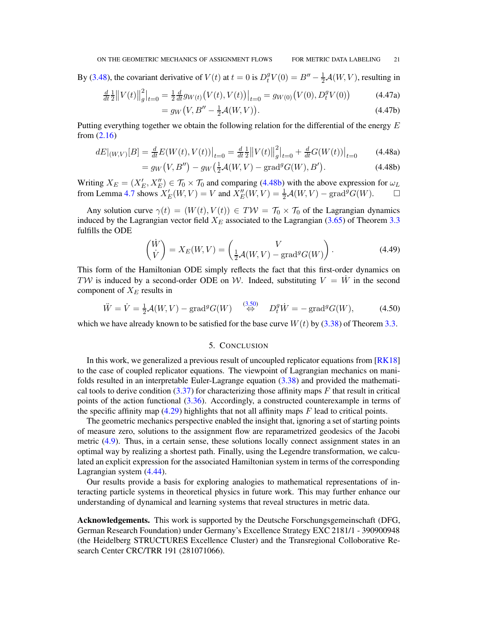By [\(3.48\)](#page-10-6), the covariant derivative of  $V(t)$  at  $t = 0$  is  $D_t^g V(0) = B'' - \frac{1}{2}A(W, V)$ , resulting in

$$
\frac{d}{dt}\frac{1}{2}||V(t)||_g^2|_{t=0} = \frac{1}{2}\frac{d}{dt}g_{W(t)}(V(t),V(t))|_{t=0} = g_{W(0)}(V(0),D_t^g V(0))
$$
\n
$$
= g_W(V, B'' - \frac{1}{2}\mathcal{A}(W,V)).
$$
\n(4.47b)

<span id="page-20-2"></span>
$$
= g_W(V, B'' - \frac{1}{2}A(W, V)). \tag{4.47b}
$$

Putting everything together we obtain the following relation for the differential of the energy E from [\(2.16\)](#page-5-7)

$$
dE|_{(W,V)}[B] = \frac{d}{dt}E(W(t), V(t))\big|_{t=0} = \frac{d}{dt}\frac{1}{2}\big\|V(t)\big\|_{g}^{2}\big|_{t=0} + \frac{d}{dt}G(W(t))\big|_{t=0}
$$
(4.48a)

$$
= g_W(V, B'') - g_W(\frac{1}{2}\mathcal{A}(W, V) - \text{grad}^g G(W), B'). \tag{4.48b}
$$

Writing  $X_E = (X'_E, X''_E) \in T_0 \times T_0$  and comparing [\(4.48b\)](#page-20-2) with the above expression for  $\omega_L$ from Lemma [4.7](#page-18-1) shows  $X'_E(W, V) = V$  and  $X''_E(W, V) = \frac{1}{2} \mathcal{A}(W, V) - \text{grad}^g G(W)$ .  $\Box$ 

Any solution curve  $\gamma(t) = (W(t), V(t)) \in TW = \mathcal{T}_0 \times \mathcal{T}_0$  of the Lagrangian dynamics induced by the Lagrangian vector field  $X_E$  associated to the Lagrangian [\(3.65\)](#page-12-2) of Theorem [3.3](#page-8-1) fulfills the ODE

$$
\begin{pmatrix} \dot{W} \\ \dot{V} \end{pmatrix} = X_E(W, V) = \begin{pmatrix} V \\ \frac{1}{2}A(W, V) - \text{grad}^g G(W) \end{pmatrix}.
$$
 (4.49)

This form of the Hamiltonian ODE simply reflects the fact that this first-order dynamics on TW is induced by a second-order ODE on W. Indeed, substituting  $V = \dot{W}$  in the second component of  $X_E$  results in

$$
\ddot{W} = \dot{V} = \frac{1}{2}\mathcal{A}(W, V) - \text{grad}^g G(W) \quad \stackrel{(3.50)}{\Leftrightarrow} \quad D_t^g \dot{W} = -\text{grad}^g G(W), \tag{4.50}
$$

<span id="page-20-0"></span>which we have already known to be satisfied for the base curve  $W(t)$  by [\(3.38\)](#page-8-5) of Theorem [3.3.](#page-8-1)

# 5. CONCLUSION

In this work, we generalized a previous result of uncoupled replicator equations from [\[RK18\]](#page-21-12) to the case of coupled replicator equations. The viewpoint of Lagrangian mechanics on manifolds resulted in an interpretable Euler-Lagrange equation [\(3.38\)](#page-8-5) and provided the mathematical tools to derive condition  $(3.37)$  for characterizing those affinity maps F that result in critical points of the action functional [\(3.36\)](#page-8-4). Accordingly, a constructed counterexample in terms of the specific affinity map  $(4.29)$  highlights that not all affinity maps  $F$  lead to critical points.

The geometric mechanics perspective enabled the insight that, ignoring a set of starting points of measure zero, solutions to the assignment flow are reparametrized geodesics of the Jacobi metric [\(4.9\)](#page-14-2). Thus, in a certain sense, these solutions locally connect assignment states in an optimal way by realizing a shortest path. Finally, using the Legendre transformation, we calculated an explicit expression for the associated Hamiltonian system in terms of the corresponding Lagrangian system [\(4.44\)](#page-19-3).

Our results provide a basis for exploring analogies to mathematical representations of interacting particle systems in theoretical physics in future work. This may further enhance our understanding of dynamical and learning systems that reveal structures in metric data.

<span id="page-20-1"></span>Acknowledgements. This work is supported by the Deutsche Forschungsgemeinschaft (DFG, German Research Foundation) under Germany's Excellence Strategy EXC 2181/1 - 390900948 (the Heidelberg STRUCTURES Excellence Cluster) and the Transregional Colloborative Research Center CRC/TRR 191 (281071066).